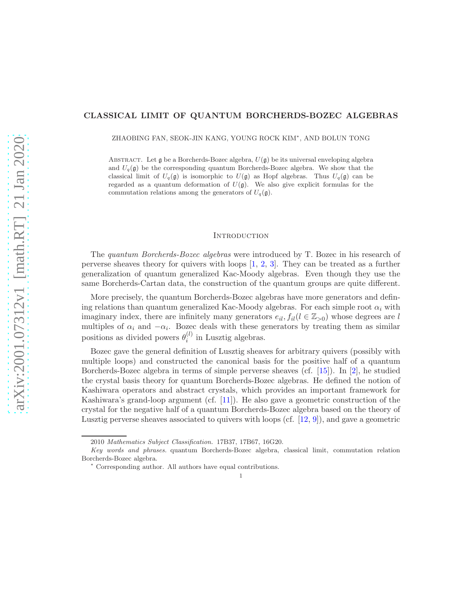# CLASSICAL LIMIT OF QUANTUM BORCHERDS-BOZEC ALGEBRAS

ZHAOBING FAN, SEOK-JIN KANG, YOUNG ROCK KIM<sup>∗</sup> , AND BOLUN TONG

ABSTRACT. Let g be a Borcherds-Bozec algebra,  $U(\mathfrak{g})$  be its universal enveloping algebra and  $U_q(\mathfrak{g})$  be the corresponding quantum Borcherds-Bozec algebra. We show that the classical limit of  $U_q(\mathfrak{g})$  is isomorphic to  $U(\mathfrak{g})$  as Hopf algebras. Thus  $U_q(\mathfrak{g})$  can be regarded as a quantum deformation of  $U(\mathfrak{g})$ . We also give explicit formulas for the commutation relations among the generators of  $U_q(\mathfrak{g})$ .

#### **INTRODUCTION**

The quantum Borcherds-Bozec algebras were introduced by T. Bozec in his research of perverse sheaves theory for quivers with loops [\[1,](#page-22-0) [2,](#page-22-1) [3\]](#page-22-2). They can be treated as a further generalization of quantum generalized Kac-Moody algebras. Even though they use the same Borcherds-Cartan data, the construction of the quantum groups are quite different.

More precisely, the quantum Borcherds-Bozec algebras have more generators and defining relations than quantum generalized Kac-Moody algebras. For each simple root  $\alpha_i$  with imaginary index, there are infinitely many generators  $e_{il}$ ,  $f_{il}(l \in \mathbb{Z}_{>0})$  whose degrees are l multiples of  $\alpha_i$  and  $-\alpha_i$ . Bozec deals with these generators by treating them as similar positions as divided powers  $\theta_i^{(l)}$  $i^{(i)}$  in Lusztig algebras.

Bozec gave the general definition of Lusztig sheaves for arbitrary quivers (possibly with multiple loops) and constructed the canonical basis for the positive half of a quantum Borcherds-Bozec algebra in terms of simple perverse sheaves (cf. [\[15\]](#page-23-0)). In [\[2\]](#page-22-1), he studied the crystal basis theory for quantum Borcherds-Bozec algebras. He defined the notion of Kashiwara operators and abstract crystals, which provides an important framework for Kashiwara's grand-loop argument (cf.  $[11]$ ). He also gave a geometric construction of the crystal for the negative half of a quantum Borcherds-Bozec algebra based on the theory of Lusztig perverse sheaves associated to quivers with loops (cf. [\[12,](#page-23-2) [9\]](#page-23-3)), and gave a geometric

<sup>2010</sup> Mathematics Subject Classification. 17B37, 17B67, 16G20.

Key words and phrases. quantum Borcherds-Bozec algebra, classical limit, commutation relation Borcherds-Bozec algebra.

<sup>∗</sup> Corresponding author. All authors have equal contributions.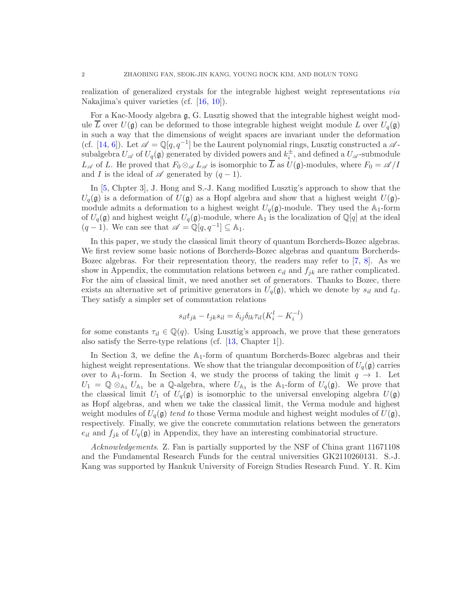realization of generalized crystals for the integrable highest weight representations via Nakajima's quiver varieties (cf. [\[16,](#page-23-4) [10\]](#page-23-5)).

For a Kac-Moody algebra g, G. Lusztig showed that the integrable highest weight module L over  $U(\mathfrak{g})$  can be deformed to those integrable highest weight module L over  $U_q(\mathfrak{g})$ in such a way that the dimensions of weight spaces are invariant under the deformation (cf. [\[14,](#page-23-6) [6\]](#page-22-3)). Let  $\mathscr{A} = \mathbb{Q}[q, q^{-1}]$  be the Laurent polynomial rings, Lusztig constructed a  $\mathscr{A}$ subalgebra  $U_{\mathscr{A}}$  of  $U_q(\mathfrak{g})$  generated by divided powers and  $k_i^{\pm}$ , and defined a  $U_{\mathscr{A}}$ -submodule  $L_{\mathscr{A}}$  of L. He proved that  $F_0 \otimes_{\mathscr{A}} L_{\mathscr{A}}$  is isomorphic to  $\overline{L}$  as  $U(\mathfrak{g})$ -modules, where  $F_0 = \mathscr{A}/I$ and I is the ideal of  $\mathscr A$  generated by  $(q-1)$ .

In [\[5,](#page-22-4) Chpter 3], J. Hong and S.-J. Kang modified Lusztig's approach to show that the  $U_q(\mathfrak{g})$  is a deformation of  $U(\mathfrak{g})$  as a Hopf algebra and show that a highest weight  $U(\mathfrak{g})$ module admits a deformation to a highest weight  $U_q(\mathfrak{g})$ -module. They used the  $\mathbb{A}_1$ -form of  $U_q(\mathfrak{g})$  and highest weight  $U_q(\mathfrak{g})$ -module, where  $\mathbb{A}_1$  is the localization of  $\mathbb{Q}[q]$  at the ideal  $(q-1)$ . We can see that  $\mathscr{A} = \mathbb{Q}[q, q^{-1}] \subseteq \mathbb{A}_1$ .

In this paper, we study the classical limit theory of quantum Borcherds-Bozec algebras. We first review some basic notions of Borcherds-Bozec algebras and quantum Borcherds-Bozec algebras. For their representation theory, the readers may refer to [\[7,](#page-22-5) [8\]](#page-22-6). As we show in Appendix, the commutation relations between  $e_{il}$  and  $f_{jk}$  are rather complicated. For the aim of classical limit, we need another set of generators. Thanks to Bozec, there exists an alternative set of primitive generators in  $U_q(\mathfrak{g})$ , which we denote by  $s_{il}$  and  $t_{il}$ . They satisfy a simpler set of commutation relations

$$
s_{il}t_{jk} - t_{jk}s_{il} = \delta_{ij}\delta_{lk}\tau_{il}(K_i^l - K_i^{-l})
$$

for some constants  $\tau_{il} \in \mathbb{Q}(q)$ . Using Lusztig's approach, we prove that these generators also satisfy the Serre-type relations (cf. [\[13,](#page-23-7) Chapter 1]).

In Section 3, we define the  $A_1$ -form of quantum Borcherds-Bozec algebras and their highest weight representations. We show that the triangular decomposition of  $U_q(\mathfrak{g})$  carries over to A<sub>1</sub>-form. In Section 4, we study the process of taking the limit  $q \to 1$ . Let  $U_1 = \mathbb{Q} \otimes_{A_1} U_{A_1}$  be a  $\mathbb{Q}$ -algebra, where  $U_{A_1}$  is the  $A_1$ -form of  $U_q(\mathfrak{g})$ . We prove that the classical limit  $U_1$  of  $U_q(\mathfrak{g})$  is isomorphic to the universal enveloping algebra  $U(\mathfrak{g})$ as Hopf algebras, and when we take the classical limit, the Verma module and highest weight modules of  $U_q(\mathfrak{g})$  tend to those Verma module and highest weight modules of  $U(\mathfrak{g})$ , respectively. Finally, we give the concrete commutation relations between the generators  $e_{il}$  and  $f_{jk}$  of  $U_q(\mathfrak{g})$  in Appendix, they have an interesting combinatorial structure.

Acknowledgements. Z. Fan is partially supported by the NSF of China grant 11671108 and the Fundamental Research Funds for the central universities GK2110260131. S.-J. Kang was supported by Hankuk University of Foreign Studies Research Fund. Y. R. Kim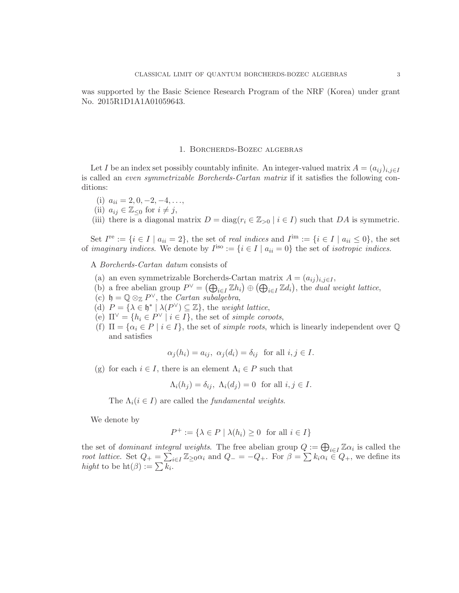was supported by the Basic Science Research Program of the NRF (Korea) under grant No. 2015R1D1A1A01059643.

#### 1. Borcherds-Bozec algebras

Let I be an index set possibly countably infinite. An integer-valued matrix  $A = (a_{ij})_{i,j\in I}$ is called an even symmetrizable Borcherds-Cartan matrix if it satisfies the following conditions:

- (i)  $a_{ii} = 2, 0, -2, -4, \ldots,$
- (ii)  $a_{ij} \in \mathbb{Z}_{\leq 0}$  for  $i \neq j$ ,

(iii) there is a diagonal matrix  $D = \text{diag}(r_i \in \mathbb{Z}_{>0} \mid i \in I)$  such that DA is symmetric.

Set  $I^{\text{re}} := \{i \in I \mid a_{ii} = 2\}$ , the set of *real indices* and  $I^{\text{im}} := \{i \in I \mid a_{ii} \leq 0\}$ , the set of *imaginary indices*. We denote by  $I^{iso} := \{i \in I \mid a_{ii} = 0\}$  the set of *isotropic indices*.

A Borcherds-Cartan datum consists of

- (a) an even symmetrizable Borcherds-Cartan matrix  $A = (a_{ij})_{i,j \in I}$ ,
- (b) a free abelian group  $P^{\vee} = (\bigoplus_{i \in I} \mathbb{Z}h_i) \oplus (\bigoplus_{i \in I} \mathbb{Z}d_i)$ , the *dual weight lattice*,
- (c)  $\mathfrak{h} = \mathbb{Q} \otimes_{\mathbb{Z}} P^{\vee}$ , the *Cartan subalgebra*,
- (d)  $P = {\lambda \in \mathfrak{h}^* \mid \lambda(P^{\vee}) \subseteq \mathbb{Z}}$ , the weight lattice,
- (e)  $\Pi^{\vee} = \{ h_i \in P^{\vee} \mid i \in I \}$ , the set of *simple coroots*,
- (f)  $\Pi = {\alpha_i \in P \mid i \in I}$ , the set of *simple roots*, which is linearly independent over  $\mathbb Q$ and satisfies

$$
\alpha_j(h_i) = a_{ij}, \ \alpha_j(d_i) = \delta_{ij} \text{ for all } i, j \in I.
$$

(g) for each  $i \in I$ , there is an element  $\Lambda_i \in P$  such that

$$
\Lambda_i(h_j) = \delta_{ij}, \ \Lambda_i(d_j) = 0 \ \text{ for all } i, j \in I.
$$

The  $\Lambda_i$  ( $i \in I$ ) are called the *fundamental weights*.

We denote by

$$
P^+ := \{ \lambda \in P \mid \lambda(h_i) \ge 0 \text{ for all } i \in I \}
$$

the set of *dominant integral weights*. The free abelian group  $Q := \bigoplus_{i \in I} \mathbb{Z} \alpha_i$  is called the root lattice. Set  $Q_+ = \sum_{i \in I} \mathbb{Z}_{\geq 0} \alpha_i$  and  $Q_- = -Q_+$ . For  $\beta = \sum k_i \alpha_i \in Q_+$ , we define its hight to be  $\mathrm{ht}(\beta) := \sum \overline{k_i}$ .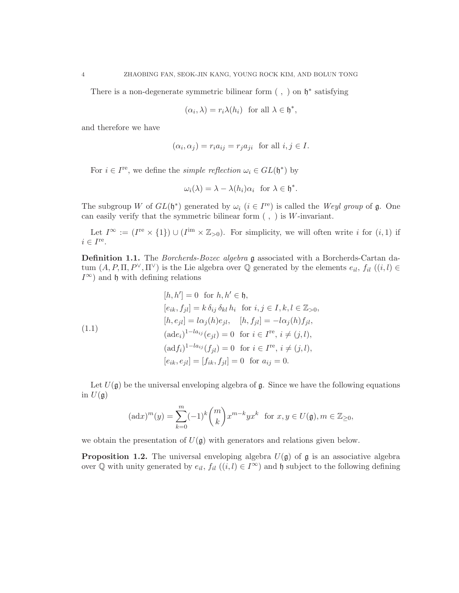There is a non-degenerate symmetric bilinear form  $( , )$  on  $\mathfrak{h}^*$  satisfying

$$
(\alpha_i, \lambda) = r_i \lambda(h_i)
$$
 for all  $\lambda \in \mathfrak{h}^*$ ,

and therefore we have

$$
(\alpha_i, \alpha_j) = r_i a_{ij} = r_j a_{ji} \text{ for all } i, j \in I.
$$

For  $i \in I^{\text{re}}$ , we define the *simple reflection*  $\omega_i \in GL(\mathfrak{h}^*)$  by

$$
\omega_i(\lambda) = \lambda - \lambda(h_i)\alpha_i \text{ for } \lambda \in \mathfrak{h}^*.
$$

The subgroup W of  $GL(\mathfrak{h}^*)$  generated by  $\omega_i$   $(i \in I^{\text{re}})$  is called the Weyl group of  $\mathfrak{g}$ . One can easily verify that the symmetric bilinear form  $( , )$  is W-invariant.

Let  $I^{\infty} := (I^{\text{re}} \times \{1\}) \cup (I^{\text{im}} \times \mathbb{Z}_{>0})$ . For simplicity, we will often write i for  $(i,1)$  if  $i \in I^{\text{re}}$ .

Definition 1.1. The Borcherds-Bozec algebra g associated with a Borcherds-Cartan datum  $(A, P, \Pi, P^{\vee}, \Pi^{\vee})$  is the Lie algebra over  $\mathbb Q$  generated by the elements  $e_{il}$ ,  $f_{il}$   $((i, l) \in$  $I^{\infty}$ ) and h with defining relations

(1.1)  
\n
$$
[h, h'] = 0 \text{ for } h, h' \in \mathfrak{h},
$$
\n
$$
[e_{ik}, f_{jl}] = k \delta_{ij} \delta_{kl} h_i \text{ for } i, j \in I, k, l \in \mathbb{Z}_{>0},
$$
\n
$$
[h, e_{jl}] = l \alpha_j(h) e_{jl}, \quad [h, f_{jl}] = -l \alpha_j(h) f_{jl},
$$
\n
$$
(\text{ad} e_i)^{1 - l a_{ij}}(e_{jl}) = 0 \text{ for } i \in I^{\text{re}}, i \neq (j, l),
$$
\n
$$
[\text{ad} f_i)^{1 - l a_{ij}}(f_{jl}) = 0 \text{ for } i \in I^{\text{re}}, i \neq (j, l),
$$
\n
$$
[e_{ik}, e_{jl}] = [f_{ik}, f_{jl}] = 0 \text{ for } a_{ij} = 0.
$$

Let  $U(\mathfrak{g})$  be the universal enveloping algebra of  $\mathfrak{g}$ . Since we have the following equations in  $U(\mathfrak{g})$ 

$$
(\mathrm{ad}x)^m(y) = \sum_{k=0}^m (-1)^k \binom{m}{k} x^{m-k} y x^k \text{ for } x, y \in U(\mathfrak{g}), m \in \mathbb{Z}_{\ge 0},
$$

we obtain the presentation of  $U(\mathfrak{g})$  with generators and relations given below.

**Proposition 1.2.** The universal enveloping algebra  $U(\mathfrak{g})$  of  $\mathfrak{g}$  is an associative algebra over Q with unity generated by  $e_{il}$ ,  $f_{il}$   $((i, l) \in I^{\infty})$  and h subject to the following defining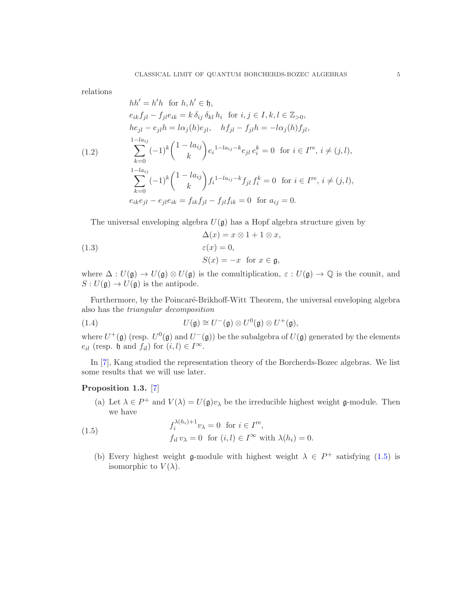relations

<span id="page-4-1"></span>
$$
hh' = h'h \text{ for } h, h' \in \mathfrak{h},
$$
  
\n
$$
e_{ik}f_{jl} - f_{jl}e_{ik} = k \delta_{ij} \delta_{kl} h_i \text{ for } i, j \in I, k, l \in \mathbb{Z}_{>0},
$$
  
\n
$$
he_{jl} - e_{jl}h = l\alpha_j(h)e_{jl}, \quad hf_{jl} - f_{jl}h = -l\alpha_j(h)f_{jl},
$$
  
\n
$$
\sum_{k=0}^{1-la_{ij}} (-1)^k \binom{1-la_{ij}}{k} e_i^{1-la_{ij}-k} e_{jl} e_i^k = 0 \text{ for } i \in I^{\text{re}}, i \neq (j, l),
$$
  
\n
$$
\sum_{k=0}^{1-la_{ij}} (-1)^k \binom{1-la_{ij}}{k} f_i^{1-la_{ij}-k} f_{jl} f_i^k = 0 \text{ for } i \in I^{\text{re}}, i \neq (j, l),
$$
  
\n
$$
e_{ik}e_{jl} - e_{jl}e_{ik} = f_{ik}f_{jl} - f_{jl}f_{ik} = 0 \text{ for } a_{ij} = 0.
$$

<span id="page-4-3"></span>The universal enveloping algebra  $U(\mathfrak{g})$  has a Hopf algebra structure given by

(1.3) 
$$
\Delta(x) = x \otimes 1 + 1 \otimes x,
$$

$$
\varepsilon(x) = 0,
$$

$$
S(x) = -x \text{ for } x \in \mathfrak{g},
$$

where  $\Delta: U(\mathfrak{g}) \to U(\mathfrak{g}) \otimes U(\mathfrak{g})$  is the comultiplication,  $\varepsilon: U(\mathfrak{g}) \to \mathbb{Q}$  is the counit, and  $S: U(\mathfrak{g}) \to U(\mathfrak{g})$  is the antipode.

Furthermore, by the Poincaré-Brikhoff-Witt Theorem, the universal enveloping algebra also has the triangular decomposition

(1.4) 
$$
U(\mathfrak{g}) \cong U^-(\mathfrak{g}) \otimes U^0(\mathfrak{g}) \otimes U^+(\mathfrak{g}),
$$

where  $U^+(\mathfrak{g})$  (resp.  $U^0(\mathfrak{g})$  and  $U^-(\mathfrak{g})$ ) be the subalgebra of  $U(\mathfrak{g})$  generated by the elements  $e_{il}$  (resp. h and  $f_{il}$ ) for  $(i, l) \in I^{\infty}$ .

In [\[7\]](#page-22-5), Kang studied the representation theory of the Borcherds-Bozec algebras. We list some results that we will use later.

# <span id="page-4-2"></span>Proposition 1.3. [\[7\]](#page-22-5)

<span id="page-4-0"></span>(a) Let  $\lambda \in P^+$  and  $V(\lambda) = U(\mathfrak{g})v_\lambda$  be the irreducible highest weight  $\mathfrak{g}\text{-module}$ . Then we have

(1.5) 
$$
f_i^{\lambda(h_i)+1} v_\lambda = 0 \text{ for } i \in I^{\text{re}},
$$

$$
f_{il} v_\lambda = 0 \text{ for } (i,l) \in I^\infty \text{ with } \lambda(h_i) = 0.
$$

(b) Every highest weight  $\mathfrak g$ -module with highest weight  $\lambda \in P^+$  satisfying [\(1.5\)](#page-4-0) is isomorphic to  $V(\lambda)$ .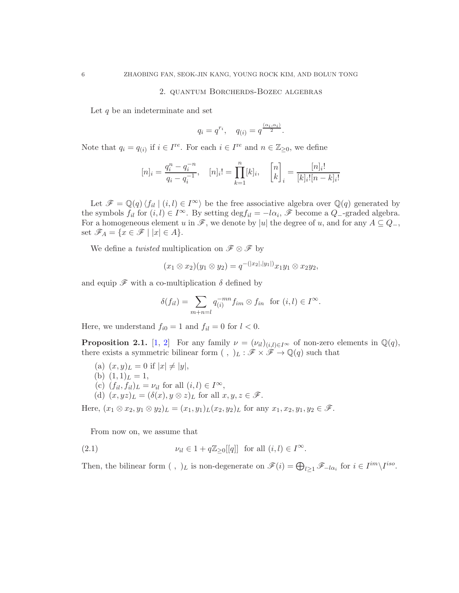#### 2. quantum Borcherds-Bozec algebras

Let  $q$  be an indeterminate and set

$$
q_i = q^{r_i}, \quad q_{(i)} = q^{\frac{(\alpha_i, \alpha_i)}{2}}.
$$

Note that  $q_i = q_{(i)}$  if  $i \in I^{\text{re}}$ . For each  $i \in I^{\text{re}}$  and  $n \in \mathbb{Z}_{\geq 0}$ , we define

$$
[n]_i = \frac{q_i^n - q_i^{-n}}{q_i - q_i^{-1}}, \quad [n]_i! = \prod_{k=1}^n [k]_i, \quad \begin{bmatrix} n \\ k \end{bmatrix}_i = \frac{[n]_i!}{[k]_i! [n-k]_i!}
$$

Let  $\mathscr{F} = \mathbb{Q}(q) \langle f_{il} | (i, l) \in I^{\infty} \rangle$  be the free associative algebra over  $\mathbb{Q}(q)$  generated by the symbols  $f_{il}$  for  $(i, l) \in I^{\infty}$ . By setting  $\deg f_{il} = -l\alpha_i$ ,  $\mathscr F$  become a  $Q$ -graded algebra. For a homogeneous element u in  $\mathscr{F}$ , we denote by |u| the degree of u, and for any  $A \subseteq Q_-,$ set  $\mathscr{F}_A = \{x \in \mathscr{F} \mid |x| \in A\}.$ 

We define a *twisted* multiplication on  $\mathscr{F} \otimes \mathscr{F}$  by

$$
(x_1 \otimes x_2)(y_1 \otimes y_2) = q^{-(|x_2|, |y_1|)} x_1 y_1 \otimes x_2 y_2,
$$

and equip  $\mathscr F$  with a co-multiplication  $\delta$  defined by

$$
\delta(f_{il}) = \sum_{m+n=l} q_{(i)}^{-mn} f_{im} \otimes f_{in} \text{ for } (i,l) \in I^{\infty}.
$$

Here, we understand  $f_{i0} = 1$  and  $f_{il} = 0$  for  $l < 0$ .

**Proposition 2.1.** [\[1,](#page-22-0) [2\]](#page-22-1) For any family  $\nu = (\nu_{il})_{(i,l)\in I^{\infty}}$  of non-zero elements in  $\mathbb{Q}(q)$ , there exists a symmetric bilinear form  $( , )_L : \mathscr{F} \times \mathscr{F} \to \mathbb{Q}(q)$  such that

- (a)  $(x, y)_L = 0$  if  $|x| \neq |y|$ ,
- (b)  $(1,1)<sub>L</sub> = 1$ ,
- (c)  $(f_{il}, f_{il})_L = \nu_{il}$  for all  $(i, l) \in I^{\infty}$ ,
- (d)  $(x, yz)$ <sub>L</sub> =  $(\delta(x), y \otimes z)$ <sub>L</sub> for all  $x, y, z \in \mathscr{F}$ .

Here,  $(x_1 \otimes x_2, y_1 \otimes y_2)_L = (x_1, y_1)_L (x_2, y_2)_L$  for any  $x_1, x_2, y_1, y_2 \in \mathscr{F}$ .

From now on, we assume that

(2.1) 
$$
\nu_{il} \in 1 + q \mathbb{Z}_{\geq 0}[[q]] \text{ for all } (i,l) \in I^{\infty}.
$$

Then, the bilinear form  $( , )_L$  is non-degenerate on  $\mathscr{F}(i) = \bigoplus_{l \geq 1} \mathscr{F}_{-l\alpha_i}$  for  $i \in I^{im} \backslash I^{iso}$ .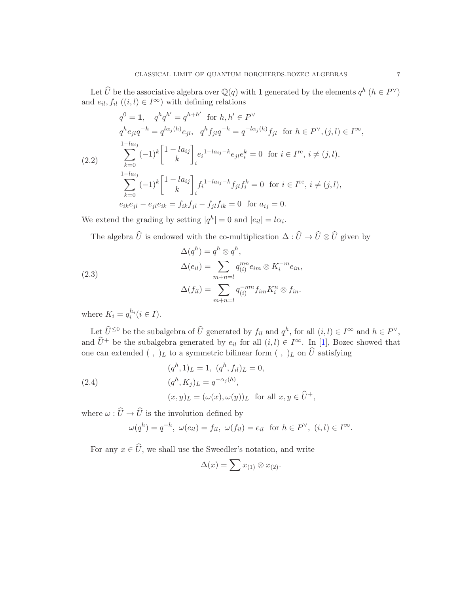Let  $\widehat{U}$  be the associative algebra over  $\mathbb{Q}(q)$  with 1 generated by the elements  $q^h$   $(h \in P^{\vee})$ and  $e_{il}, f_{il}$   $((i, l) \in I^{\infty})$  with defining relations

<span id="page-6-0"></span>
$$
q^{0} = 1, \quad q^{h}q^{h'} = q^{h+h'} \text{ for } h, h' \in P^{\vee}
$$
  
\n
$$
q^{h}e_{jl}q^{-h} = q^{l\alpha_{j}(h)}e_{jl}, \quad q^{h}f_{jl}q^{-h} = q^{-l\alpha_{j}(h)}f_{jl} \text{ for } h \in P^{\vee}, (j,l) \in I^{\infty},
$$
  
\n
$$
\sum_{k=0}^{1-la_{ij}} (-1)^{k} \begin{bmatrix} 1 - la_{ij} \\ k \end{bmatrix}_{i} e_{i}^{1-la_{ij}-k}e_{jl}e_{i}^{k} = 0 \text{ for } i \in I^{\text{re}}, i \neq (j,l),
$$
  
\n
$$
\sum_{k=0}^{1-la_{ij}} (-1)^{k} \begin{bmatrix} 1 - la_{ij} \\ k \end{bmatrix}_{i} f_{i}^{1-la_{ij}-k}f_{jl}f_{i}^{k} = 0 \text{ for } i \in I^{\text{re}}, i \neq (j,l),
$$
  
\n
$$
e_{ik}e_{jl} - e_{jl}e_{ik} = f_{ik}f_{jl} - f_{jl}f_{ik} = 0 \text{ for } a_{ij} = 0.
$$

We extend the grading by setting  $|q^h| = 0$  and  $|e_{il}| = l\alpha_i$ .

The algebra U is endowed with the co-multiplication  $\Delta: U \to U \otimes U$  given by

(2.3)  
\n
$$
\Delta(q^h) = q^h \otimes q^h,
$$
\n
$$
\Delta(e_{il}) = \sum_{m+n=l} q_{(i)}^{mn} e_{im} \otimes K_i^{-m} e_{in},
$$
\n
$$
\Delta(f_{il}) = \sum_{m+n=l} q_{(i)}^{-mn} f_{im} K_i^n \otimes f_{in}.
$$

where  $K_i = q_i^{h_i} (i \in I)$ .

Let  $\hat{U}^{\leq 0}$  be the subalgebra of  $\hat{U}$  generated by  $f_{il}$  and  $q^h$ , for all  $(i, l) \in I^{\infty}$  and  $h \in P^{\vee}$ , and  $\hat{U}^+$  be the subalgebra generated by  $e_{il}$  for all  $(i, l) \in I^{\infty}$ . In [\[1\]](#page-22-0), Bozec showed that one can extended (, )<sub>L</sub> to a symmetric bilinear form (, )<sub>L</sub> on  $\hat{U}$  satisfying

(2.4)  
\n
$$
(q^{h}, 1)_{L} = 1, (q^{h}, f_{il})_{L} = 0,
$$
\n
$$
(q^{h}, K_{j})_{L} = q^{-\alpha_{j}(h)},
$$
\n
$$
(x, y)_{L} = (\omega(x), \omega(y))_{L} \text{ for all } x, y \in \widehat{U}^{+},
$$

where  $\omega:\widehat U\to \widehat U$  is the involution defined by

$$
\omega(q^h) = q^{-h}, \ \omega(e_{il}) = f_{il}, \ \omega(f_{il}) = e_{il} \ \text{ for } h \in P^{\vee}, \ (i, l) \in I^{\infty}.
$$

For any  $x \in \widehat{U}$ , we shall use the Sweedler's notation, and write

$$
\Delta(x) = \sum x_{(1)} \otimes x_{(2)}.
$$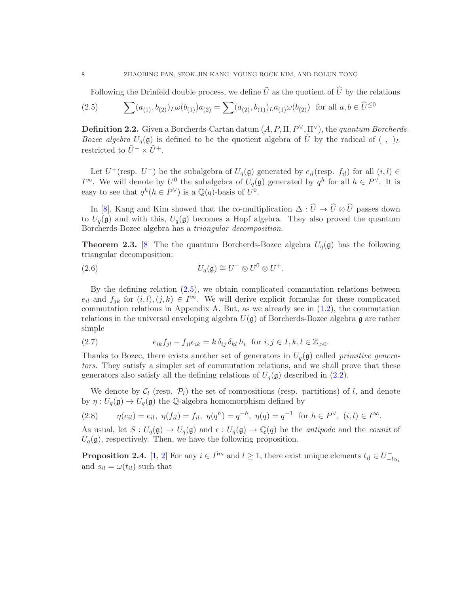<span id="page-7-0"></span>Following the Drinfeld double process, we define  $\tilde{U}$  as the quotient of  $\hat{U}$  by the relations

(2.5) 
$$
\sum (a_{(1)}, b_{(2)})_L \omega(b_{(1)}) a_{(2)} = \sum (a_{(2)}, b_{(1)})_L a_{(1)} \omega(b_{(2)}) \text{ for all } a, b \in \widehat{U}^{\leq 0}
$$

**Definition 2.2.** Given a Borcherds-Cartan datum  $(A, P, \Pi, P^{\vee}, \Pi^{\vee})$ , the quantum Borcherds-Bozec algebra  $U_q(\mathfrak{g})$  is defined to be the quotient algebra of  $\tilde{U}$  by the radical of  $( , )_L$ restricted to  $\tilde{U}^- \times \tilde{U}^+$ .

Let  $U^+$ (resp.  $U^-$ ) be the subalgebra of  $U_q(\mathfrak{g})$  generated by  $e_{il}$ (resp.  $f_{il}$ ) for all  $(i, l) \in$  $I^{\infty}$ . We will denote by  $U^0$  the subalgebra of  $U_q(\mathfrak{g})$  generated by  $q^h$  for all  $h \in P^{\vee}$ . It is easy to see that  $q^h(h \in P^{\vee})$  is a  $\mathbb{Q}(q)$ -basis of  $U^0$ .

In [\[8\]](#page-22-6), Kang and Kim showed that the co-multiplication  $\Delta: \widehat{U} \to \widehat{U} \otimes \widehat{U}$  passes down to  $U_q(\mathfrak{g})$  and with this,  $U_q(\mathfrak{g})$  becomes a Hopf algebra. They also proved the quantum Borcherds-Bozec algebra has a triangular decomposition.

**Theorem 2.3.** [\[8\]](#page-22-6) The the quantum Borcherds-Bozec algebra  $U_q(\mathfrak{g})$  has the following triangular decomposition:

<span id="page-7-1"></span>(2.6) 
$$
U_q(\mathfrak{g}) \cong U^- \otimes U^0 \otimes U^+.
$$

By the defining relation [\(2.5\)](#page-7-0), we obtain complicated commutation relations between  $e_{il}$  and  $f_{jk}$  for  $(i, l), (j, k) \in I^{\infty}$ . We will derive explicit formulas for these complicated commutation relations in Appendix A. But, as we already see in [\(1.2\)](#page-4-1), the commutation relations in the universal enveloping algebra  $U(\mathfrak{g})$  of Borcherds-Bozec algebra g are rather simple

(2.7) 
$$
e_{ik}f_{jl} - f_{jl}e_{ik} = k \,\delta_{ij} \,\delta_{kl} \, h_i \text{ for } i, j \in I, k, l \in \mathbb{Z}_{>0}.
$$

Thanks to Bozec, there exists another set of generators in  $U_q(\mathfrak{g})$  called *primitive genera*tors. They satisfy a simpler set of commutation relations, and we shall prove that these generators also satisfy all the defining relations of  $U_q(\mathfrak{g})$  described in  $(2.2)$ .

We denote by  $C_l$  (resp.  $\mathcal{P}_l$ ) the set of compositions (resp. partitions) of l, and denote by  $\eta: U_q(\mathfrak{g}) \to U_q(\mathfrak{g})$  the Q-algebra homomorphism defined by

(2.8) 
$$
\eta(e_{il}) = e_{il}, \ \eta(f_{il}) = f_{il}, \ \eta(q^h) = q^{-h}, \ \eta(q) = q^{-1} \text{ for } h \in P^{\vee}, \ (i,l) \in I^{\infty}.
$$

As usual, let  $S: U_q(\mathfrak{g}) \to U_q(\mathfrak{g})$  and  $\epsilon: U_q(\mathfrak{g}) \to \mathbb{Q}(q)$  be the *antipode* and the *counit* of  $U_q(\mathfrak{g})$ , respectively. Then, we have the following proposition.

**Proposition 2.4.** [\[1,](#page-22-0) [2\]](#page-22-1) For any  $i \in I^{im}$  and  $l \geq 1$ , there exist unique elements  $t_{il} \in U_{-l\alpha_i}^$ and  $s_{il} = \omega(t_{il})$  such that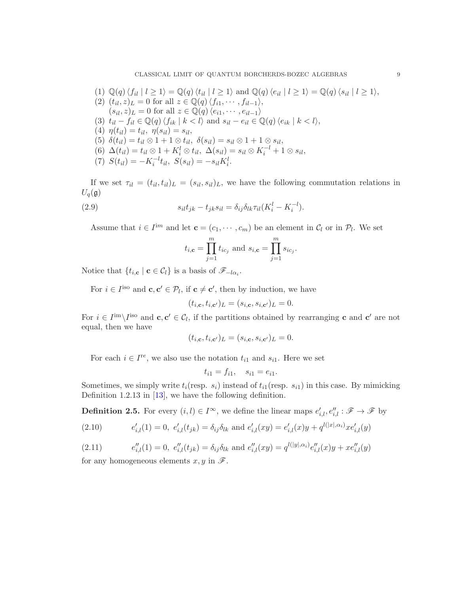CLASSICAL LIMIT OF QUANTUM BORCHERDS-BOZEC ALGEBRAS 9

(1) 
$$
\mathbb{Q}(q) \langle f_{il} | l \ge 1 \rangle = \mathbb{Q}(q) \langle t_{il} | l \ge 1 \rangle
$$
 and  $\mathbb{Q}(q) \langle e_{il} | l \ge 1 \rangle = \mathbb{Q}(q) \langle s_{il} | l \ge 1 \rangle$   
\n(2)  $(t_{il}, z)_{L} = 0$  for all  $z \in \mathbb{Q}(q) \langle f_{i1}, \dots, f_{il-1} \rangle$ ,  
\n $(s_{il}, z)_{L} = 0$  for all  $z \in \mathbb{Q}(q) \langle e_{i1}, \dots, e_{il-1} \rangle$   
\n(3)  $t_{il} - f_{il} \in \mathbb{Q}(q) \langle f_{ik} | k < l \rangle$  and  $s_{il} - e_{il} \in \mathbb{Q}(q) \langle e_{ik} | k < l \rangle$ ,  
\n(4)  $\eta(t_{il}) = t_{il}, \ \eta(s_{il}) = s_{il}$ ,  
\n(5)  $\delta(t_{il}) = t_{il} \otimes 1 + 1 \otimes t_{il}, \ \delta(s_{il}) = s_{il} \otimes 1 + 1 \otimes s_{il}$ ,  
\n(6)  $\Delta(t_{il}) = t_{il} \otimes 1 + K_{i}^{l} \otimes t_{il}, \ \Delta(s_{il}) = s_{il} \otimes K_{i}^{-l} + 1 \otimes s_{il}$ ,  
\n(7)  $S(t_{il}) = -K_{i}^{-l}t_{il}, \ S(s_{il}) = -s_{il}K_{i}^{l}$ .

If we set  $\tau_{il} = (t_{il}, t_{il})_L = (s_{il}, s_{il})_L$ , we have the following commutation relations in  $U_q(\mathfrak{g})$ 

(2.9) 
$$
s_{il}t_{jk}-t_{jk}s_{il}=\delta_{ij}\delta_{lk}\tau_{il}(K_i^l-K_i^{-l}).
$$

Assume that  $i \in I^{im}$  and let  $\mathbf{c} = (c_1, \dots, c_m)$  be an element in  $C_l$  or in  $\mathcal{P}_l$ . We set

$$
t_{i,c} = \prod_{j=1}^{m} t_{ic_j}
$$
 and  $s_{i,c} = \prod_{j=1}^{m} s_{ic_j}$ .

Notice that  $\{t_{i,c} | c \in C_l\}$  is a basis of  $\mathscr{F}_{-l\alpha_i}$ .

For  $i \in I^{\text{iso}}$  and  $\mathbf{c}, \mathbf{c}' \in \mathcal{P}_l$ , if  $\mathbf{c} \neq \mathbf{c}'$ , then by induction, we have

$$
(t_{i,\mathbf{c}}, t_{i,\mathbf{c'}})_L = (s_{i,\mathbf{c}}, s_{i,\mathbf{c'}})_L = 0.
$$

For  $i \in I^{\text{im}} \setminus I^{\text{iso}}$  and  $\mathbf{c}, \mathbf{c}' \in C_l$ , if the partitions obtained by rearranging  $\mathbf{c}$  and  $\mathbf{c}'$  are not equal, then we have

$$
(t_{i,\mathbf{c}}, t_{i,\mathbf{c'}})_L = (s_{i,\mathbf{c}}, s_{i,\mathbf{c'}})_L = 0.
$$

For each  $i \in I^{re}$ , we also use the notation  $t_{i1}$  and  $s_{i1}$ . Here we set

$$
t_{i1} = f_{i1}, \quad s_{i1} = e_{i1}.
$$

Sometimes, we simply write  $t_i$ (resp.  $s_i$ ) instead of  $t_{i1}$ (resp.  $s_{i1}$ ) in this case. By mimicking Definition 1.2.13 in [\[13\]](#page-23-7), we have the following definition.

**Definition 2.5.** For every  $(i, l) \in I^{\infty}$ , we define the linear maps  $e'_{i,l}, e''_{i,l} : \mathscr{F} \to \mathscr{F}$  by

(2.10) 
$$
e'_{i,l}(1) = 0, e'_{i,l}(t_{jk}) = \delta_{ij}\delta_{lk} \text{ and } e'_{i,l}(xy) = e'_{i,l}(x)y + q^{l(|x|, \alpha_i)}xe'_{i,l}(y)
$$

(2.11) 
$$
e''_{i,l}(1) = 0, e''_{i,l}(t_{jk}) = \delta_{ij}\delta_{lk} \text{ and } e''_{i,l}(xy) = q^{l(|y|, \alpha_i)}e''_{i,l}(x)y + xe''_{i,l}(y)
$$

for any homogeneous elements  $x, y$  in  $\mathscr{F}$ .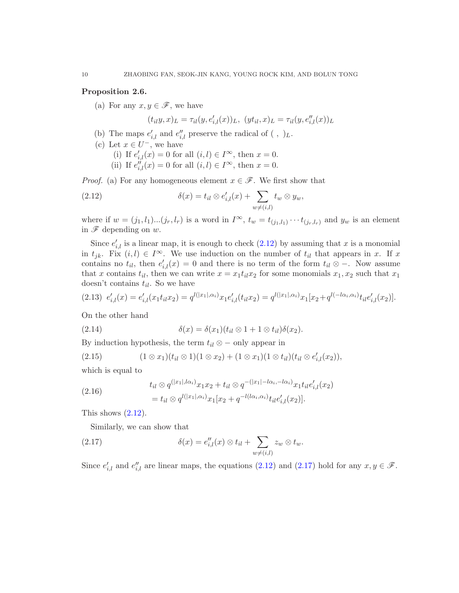### <span id="page-9-2"></span>Proposition 2.6.

(a) For any  $x, y \in \mathscr{F}$ , we have

<span id="page-9-0"></span> $(t_{il}y, x)_{L} = \tau_{il}(y, e'_{i,l}(x))_{L}, \ (yt_{il}, x)_{L} = \tau_{il}(y, e''_{i,l}(x))_{L}$ 

- (b) The maps  $e'_{i,l}$  and  $e''_{i,l}$  preserve the radical of  $( , )_L$ .
- (c) Let  $x \in U^-$ , we have
	- (i) If  $e'_{i,l}(x) = 0$  for all  $(i, l) \in I^{\infty}$ , then  $x = 0$ .
	- (ii) If  $e_{i,l}^{\prime\prime}(x) = 0$  for all  $(i, l) \in I^{\infty}$ , then  $x = 0$ .

*Proof.* (a) For any homogeneous element  $x \in \mathcal{F}$ . We first show that

(2.12) 
$$
\delta(x) = t_{il} \otimes e'_{i,l}(x) + \sum_{w \neq (i,l)} t_w \otimes y_w,
$$

where if  $w = (j_1, l_1) \dots (j_r, l_r)$  is a word in  $I^{\infty}$ ,  $t_w = t_{(j_1, l_1)} \dots t_{(j_r, l_r)}$  and  $y_w$  is an element in  $\mathscr F$  depending on  $w$ .

Since  $e'_{i,l}$  is a linear map, it is enough to check  $(2.12)$  by assuming that x is a monomial in  $t_{jk}$ . Fix  $(i, l) \in I^{\infty}$ . We use induction on the number of  $t_{il}$  that appears in x. If x contains no  $t_{il}$ , then  $e'_{i,l}(x) = 0$  and there is no term of the form  $t_{il} \otimes -$ . Now assume that x contains  $t_{il}$ , then we can write  $x = x_1 t_{il} x_2$  for some monomials  $x_1, x_2$  such that  $x_1$ doesn't contains  $t_{il}$ . So we have

$$
(2.13) \ \ e'_{i,l}(x) = e'_{i,l}(x_1 t_{il} x_2) = q^{l(|x_1|, \alpha_i)} x_1 e'_{i,l}(t_{il} x_2) = q^{l(|x_1|, \alpha_i)} x_1 [x_2 + q^{l(-l\alpha_i, \alpha_i)} t_{il} e'_{i,l}(x_2)].
$$

On the other hand

(2.14) 
$$
\delta(x) = \delta(x_1)(t_{il} \otimes 1 + 1 \otimes t_{il})\delta(x_2).
$$

By induction hypothesis, the term  $t_{il} \otimes -$  only appear in

$$
(2.15) \qquad (1 \otimes x_1)(t_{il} \otimes 1)(1 \otimes x_2) + (1 \otimes x_1)(1 \otimes t_{il})(t_{il} \otimes e'_{i,l}(x_2)),
$$

which is equal to

(2.16) 
$$
t_{il} \otimes q^{(|x_1|, l\alpha_i)} x_1 x_2 + t_{il} \otimes q^{-(|x_1| - l\alpha_i, -l\alpha_i)} x_1 t_{il} e'_{i,l}(x_2)
$$

$$
= t_{il} \otimes q^{l(|x_1|, \alpha_i)} x_1 [x_2 + q^{-l(l\alpha_i, \alpha_i)} t_{il} e'_{i,l}(x_2)].
$$

This shows  $(2.12)$ .

<span id="page-9-1"></span>Similarly, we can show that

(2.17) 
$$
\delta(x) = e''_{i,l}(x) \otimes t_{il} + \sum_{w \neq (i,l)} z_w \otimes t_w.
$$

Since  $e'_{i,l}$  and  $e''_{i,l}$  are linear maps, the equations [\(2.12\)](#page-9-0) and [\(2.17\)](#page-9-1) hold for any  $x, y \in \mathscr{F}$ .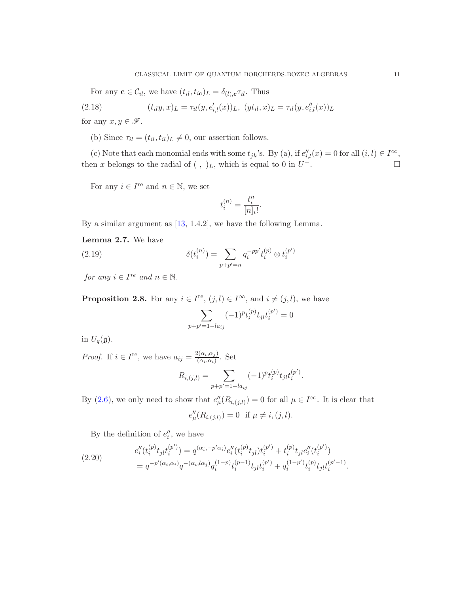For any  $\mathbf{c} \in \mathcal{C}_{il}$ , we have  $(t_{il}, t_{ic})_L = \delta_{(l),c} \tau_{il}$ . Thus

(2.18) 
$$
(t_{il}y, x)_L = \tau_{il}(y, e'_{i,l}(x))_L, \ (yt_{il}, x)_L = \tau_{il}(y, e''_{i,l}(x))_L
$$

for any  $x, y \in \mathscr{F}$ .

(b) Since  $\tau_{il} = (t_{il}, t_{il})_L \neq 0$ , our assertion follows.

(c) Note that each monomial ends with some  $t_{jk}$ 's. By (a), if  $e''_{i,l}(x) = 0$  for all  $(i, l) \in I^{\infty}$ , then x belongs to the radial of (, )<sub>L</sub>, which is equal to 0 in  $U^{-}$ . −. □

For any  $i \in I^{\text{re}}$  and  $n \in \mathbb{N}$ , we set

$$
t_i^{(n)} = \frac{t_i^n}{[n]_i!}.
$$

By a similar argument as [\[13,](#page-23-7) 1.4.2], we have the following Lemma.

Lemma 2.7. We have

(2.19) 
$$
\delta(t_i^{(n)}) = \sum_{p+p'=n} q_i^{-pp'} t_i^{(p)} \otimes t_i^{(p')}
$$

for any  $i \in I^{re}$  and  $n \in \mathbb{N}$ .

**Proposition 2.8.** For any  $i \in I^{\text{re}}$ ,  $(j, l) \in I^{\infty}$ , and  $i \neq (j, l)$ , we have

$$
\sum_{p+p'=1-la_{ij}}(-1)^pt_i^{(p)}t_{jl}t_i^{(p')}=0
$$

in  $U_q(\mathfrak{g})$ .

*Proof.* If  $i \in I^{\text{re}}$ , we have  $a_{ij} = \frac{2(\alpha_i, \alpha_j)}{(\alpha_i, \alpha_i)}$  $\frac{\alpha_i,\alpha_j}{(\alpha_i,\alpha_i)}$ . Set

$$
R_{i,(j,l)} = \sum_{p+p'=1-l a_{ij}} (-1)^p t_i^{(p)} t_{jl} t_i^{(p')}.
$$

By [\(2.6\)](#page-9-2), we only need to show that  $e''_{\mu}(R_{i,(j,l)}) = 0$  for all  $\mu \in I^{\infty}$ . It is clear that

$$
e''_{\mu}(R_{i,(j,l)}) = 0 \text{ if } \mu \neq i,(j,l).
$$

By the definition of  $e''_i$ , we have

(2.20) 
$$
e''_i(t_i^{(p)}t_{jl}t_i^{(p')}) = q^{(\alpha_i, -p'\alpha_i)}e''_i(t_i^{(p)}t_{jl})t_i^{(p')} + t_i^{(p)}t_{jl}e''_i(t_i^{(p')})
$$

$$
= q^{-p'(\alpha_i, \alpha_i)}q^{-(\alpha_i, \alpha_j)}q_i^{(1-p)}t_i^{(p-1)}t_{jl}t_i^{(p')} + q_i^{(1-p')}t_i^{(p)}t_{jl}t_i^{(p'-1)}.
$$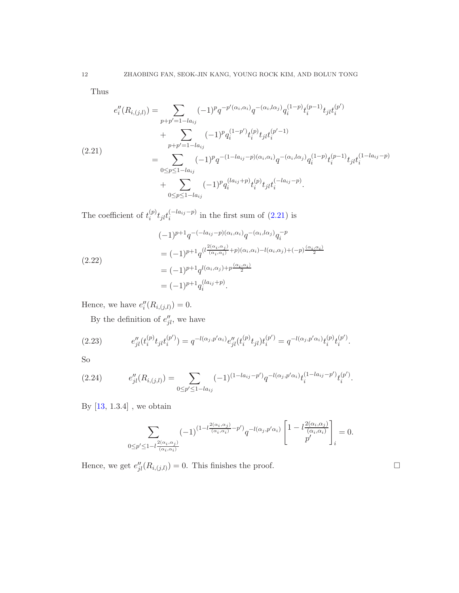Thus

<span id="page-11-0"></span>
$$
e''_i(R_{i,(j,l)}) = \sum_{p+p'=1-l a_{ij}} (-1)^p q^{-p'(\alpha_i,\alpha_i)} q^{-(\alpha_i,l\alpha_j)} q_i^{(1-p)} t_i^{(p-1)} t_{j} t_i^{(p')}
$$
  
+ 
$$
\sum_{p+p'=1-l a_{ij}} (-1)^p q_i^{(1-p')} t_i^{(p)} t_{j} t_i^{(p'-1)}
$$
  
(2.21)  
= 
$$
\sum_{0 \le p \le 1-l a_{ij}} (-1)^p q^{-(1-l a_{ij}-p)(\alpha_i,\alpha_i)} q^{-(\alpha_i,l\alpha_j)} q_i^{(1-p)} t_i^{(p-1)} t_{j} t_i^{(1-l a_{ij}-p)}
$$
  
+ 
$$
\sum_{0 \le p \le 1-l a_{ij}} (-1)^p q_i^{(l a_{ij}+p)} t_i^{(p)} t_{j} t_i^{(-l a_{ij}-p)}.
$$

The coefficient of  $t_i^{(p)}$  ${}_{i}^{(p)}t_{jl}t_{i}^{(-la_{ij}-p)}$  $i^{(-ia_{ij}-p)}$  in the first sum of  $(2.21)$  is

$$
(-1)^{p+1}q^{-(-la_{ij}-p)(\alpha_i,\alpha_i)}q^{-(\alpha_i,l\alpha_j)}q_i^{-p}
$$
  
=  $(-1)^{p+1}q^{(l\frac{2(\alpha_i,\alpha_j)}{(\alpha_i,\alpha_i)}+p)(\alpha_i,\alpha_i)-l(\alpha_i,\alpha_j)+(-p)\frac{(\alpha_i,\alpha_i)}{2})}$   
=  $(-1)^{p+1}q^{l(\alpha_i,\alpha_j)+p\frac{(\alpha_i,\alpha_i)}{2}}$   
=  $(-1)^{p+1}q_i^{(la_{ij}+p)}$ .

Hence, we have  $e''_i(R_{i,(j,l)})=0.$ 

By the definition of  $e''_{jl}$ , we have

(2.23) 
$$
e''_{jl}(t_i^{(p)}t_{jl}t_i^{(p')}) = q^{-l(\alpha_j, p'\alpha_i)}e''_{jl}(t_i^{(p)}t_{jl})t_i^{(p')} = q^{-l(\alpha_j, p'\alpha_i)}t_i^{(p)}t_i^{(p')}.
$$

So

(2.24) 
$$
e''_{jl}(R_{i,(j,l)}) = \sum_{0 \le p' \le 1 - la_{ij}} (-1)^{(1 - la_{ij} - p')} q^{-l(\alpha_j, p' \alpha_i)} t_i^{(1 - la_{ij} - p')} t_i^{(p')}.
$$

By  $\left[ 13,\, 1.3.4 \right]$  , we obtain

$$
\sum_{0\le p'\le 1-l\frac{2(\alpha_i,\alpha_j)}{(\alpha_i,\alpha_i)}}(-1)^{(1-l\frac{2(\alpha_i,\alpha_j)}{(\alpha_i,\alpha_i)}-p')}q^{-l(\alpha_j,p'\alpha_i)}\left[1-l\frac{2(\alpha_i,\alpha_j)}{(\alpha_i,\alpha_i)}\right]_i=0.
$$

Hence, we get  $e''_{jl}(R_{i,(j,l)}) = 0$ . This finishes the proof.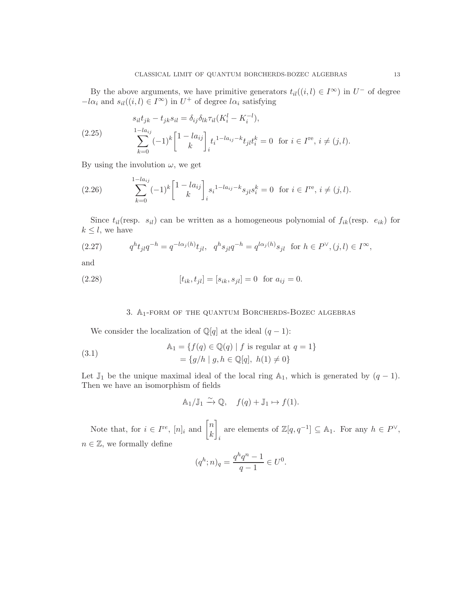By the above arguments, we have primitive generators  $t_{il}((i, l) \in I^{\infty})$  in  $U^-$  of degree  $-l\alpha_i$  and  $s_{il}((i, l) \in I^{\infty})$  in  $U^+$  of degree  $l\alpha_i$  satisfying

<span id="page-12-0"></span>(2.25) 
$$
s_{il}t_{jk} - t_{jk}s_{il} = \delta_{ij}\delta_{lk}\tau_{il}(K_i^l - K_i^{-l}),
$$

$$
\sum_{k=0}^{1-la_{ij}} (-1)^k \begin{bmatrix} 1 - la_{ij} \\ k \end{bmatrix}_{i} t_i^{1-la_{ij} - k} t_{jl} t_i^k = 0 \text{ for } i \in I^{\text{re}}, i \neq (j, l).
$$

By using the involution  $\omega$ , we get

(2.26) 
$$
\sum_{k=0}^{1-l a_{ij}} (-1)^k \begin{bmatrix} 1 - l a_{ij} \\ k \end{bmatrix}_{i} s_i^{1-l a_{ij} - k} s_{jl} s_i^k = 0 \text{ for } i \in I^{\text{re}}, i \neq (j, l).
$$

Since  $t_{il}$ (resp.  $s_{il}$ ) can be written as a homogeneous polynomial of  $f_{ik}$ (resp.  $e_{ik}$ ) for  $k \leq l$ , we have

<span id="page-12-1"></span>(2.27) 
$$
q^{h}t_{jl}q^{-h} = q^{-l\alpha_{j}(h)}t_{jl}, \quad q^{h}s_{jl}q^{-h} = q^{l\alpha_{j}(h)}s_{jl} \text{ for } h \in P^{\vee}, (j,l) \in I^{\infty},
$$

and

(2.28) 
$$
[t_{ik}, t_{jl}] = [s_{ik}, s_{jl}] = 0 \text{ for } a_{ij} = 0.
$$

## 3. A1-form of the quantum Borcherds-Bozec algebras

We consider the localization of  $\mathbb{Q}[q]$  at the ideal  $(q-1)$ :

(3.1) 
$$
\mathbb{A}_1 = \{ f(q) \in \mathbb{Q}(q) \mid f \text{ is regular at } q = 1 \}
$$

$$
= \{ g/h \mid g, h \in \mathbb{Q}[q], h(1) \neq 0 \}
$$

Let  $\mathbb{J}_1$  be the unique maximal ideal of the local ring A<sub>1</sub>, which is generated by  $(q-1)$ . Then we have an isomorphism of fields

$$
\mathbb{A}_1/\mathbb{J}_1 \xrightarrow{\sim} \mathbb{Q}, \quad f(q) + \mathbb{J}_1 \mapsto f(1).
$$

Note that, for  $i \in I^{re}$ ,  $[n]_i$  and  $\begin{bmatrix} n \\ k \end{bmatrix}$ k 1 i are elements of  $\mathbb{Z}[q, q^{-1}] \subseteq \mathbb{A}_1$ . For any  $h \in P^{\vee}$ ,  $n \in \mathbb{Z}$ , we formally define

$$
(q^h; n)_q = \frac{q^h q^n - 1}{q - 1} \in U^0.
$$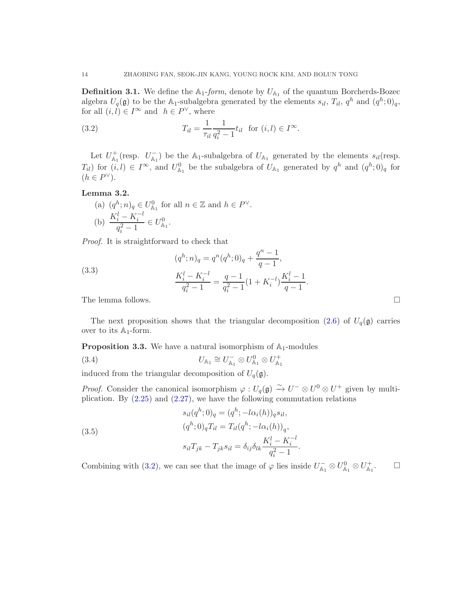**Definition 3.1.** We define the  $A_1$ -form, denote by  $U_{A_1}$  of the quantum Borcherds-Bozec algebra  $U_q(\mathfrak{g})$  to be the  $\mathbb{A}_1$ -subalgebra generated by the elements  $s_{il}$ ,  $T_{il}$ ,  $q^h$  and  $(q^h; 0)_q$ , for all  $(i, l) \in I^{\infty}$  and  $h \in P^{\vee}$ , where

(3.2) 
$$
T_{il} = \frac{1}{\tau_{il}} \frac{1}{q_i^2 - 1} t_{il} \text{ for } (i, l) \in I^{\infty}.
$$

Let  $U_{\mathbb{A}_1}^+$  (resp.  $U_{\mathbb{A}_1}^-$ ) be the  $\mathbb{A}_1$ -subalgebra of  $U_{\mathbb{A}_1}$  generated by the elements  $s_{il}$  (resp.  $T_{il}$ ) for  $(i, l) \in I^{\infty}$ , and  $U_{\mathbb{A}_1}^0$  be the subalgebra of  $U_{\mathbb{A}_1}$  generated by  $q^h$  and  $(q^h; 0)_q$  for  $(h \in P^{\vee}).$ 

## <span id="page-13-0"></span>Lemma 3.2.

(a) 
$$
(q^h; n)_q \in U_{\mathbb{A}_1}^0
$$
 for all  $n \in \mathbb{Z}$  and  $h \in P^{\vee}$ .  
\n(b)  $\frac{K_i^l - K_i^{-l}}{q_i^2 - 1} \in U_{\mathbb{A}_1}^0$ .

Proof. It is straightforward to check that

(3.3)  
\n
$$
(q^{h}; n)_{q} = q^{n}(q^{h}; 0)_{q} + \frac{q^{n} - 1}{q - 1},
$$
\n
$$
\frac{K_{i}^{l} - K_{i}^{-l}}{q_{i}^{2} - 1} = \frac{q - 1}{q_{i}^{2} - 1}(1 + K_{i}^{-l})\frac{K_{i}^{l} - 1}{q - 1}.
$$
\nThe lemma follows.

The next proposition shows that the triangular decomposition  $(2.6)$  of  $U_q(\mathfrak{g})$  carries over to its  $\mathbb{A}_1$ -form.

<span id="page-13-1"></span>**Proposition 3.3.** We have a natural isomorphism of  $A_1$ -modules

(3.4) 
$$
U_{A_1} \cong U_{A_1}^- \otimes U_{A_1}^0 \otimes U_{A_1}^+
$$

induced from the triangular decomposition of  $U_q(\mathfrak{g})$ .

*Proof.* Consider the canonical isomorphism  $\varphi: U_q(\mathfrak{g}) \stackrel{\sim}{\to} U^- \otimes U^0 \otimes U^+$  given by multiplication. By  $(2.25)$  and  $(2.27)$ , we have the following commutation relations

(3.5)  
\n
$$
s_{il}(q^{h}; 0)_{q} = (q^{h}; -l\alpha_{i}(h))_{q}s_{il},
$$
\n
$$
(q^{h}; 0)_{q}T_{il} = T_{il}(q^{h}; -l\alpha_{i}(h))_{q},
$$
\n
$$
s_{il}T_{jk} - T_{jk}s_{il} = \delta_{ij}\delta_{lk}\frac{K_{i}^{l} - K_{i}^{-l}}{q_{i}^{2} - 1}.
$$

Combining with [\(3.2\)](#page-13-0), we can see that the image of  $\varphi$  lies inside  $U_{\mathbb{A}_1}^- \otimes U_{\mathbb{A}_1}^0 \otimes U_{\mathbb{A}_1}^+$  $\Box$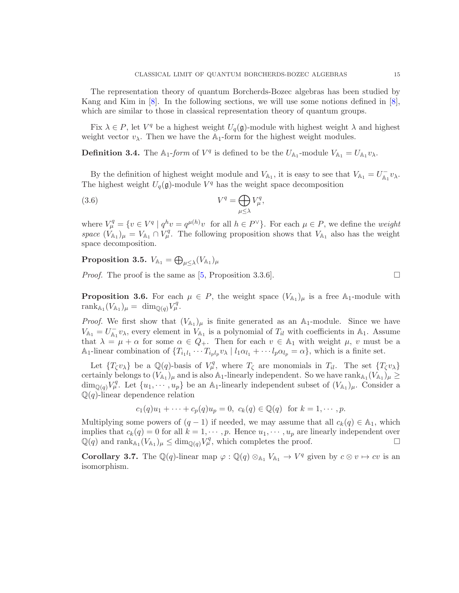The representation theory of quantum Borcherds-Bozec algebras has been studied by Kang and Kim in [\[8\]](#page-22-6). In the following sections, we will use some notions defined in [\[8\]](#page-22-6), which are similar to those in classical representation theory of quantum groups.

Fix  $\lambda \in P$ , let  $V^q$  be a highest weight  $U_q(\mathfrak{g})$ -module with highest weight  $\lambda$  and highest weight vector  $v_{\lambda}$ . Then we have the  $\mathbb{A}_1$ -form for the highest weight modules.

**Definition 3.4.** The  $\mathbb{A}_1$ -form of  $V^q$  is defined to be the  $U_{\mathbb{A}_1}$ -module  $V_{\mathbb{A}_1} = U_{\mathbb{A}_1} v_\lambda$ .

By the definition of highest weight module and  $V_{\mathbb{A}_1}$ , it is easy to see that  $V_{\mathbb{A}_1} = U_{\mathbb{A}_1}^- v_\lambda$ . The highest weight  $U_q(\mathfrak{g})$ -module  $V^q$  has the weight space decomposition

(3.6) 
$$
V^q = \bigoplus_{\mu \leq \lambda} V^q_{\mu},
$$

where  $V^q_\mu = \{v \in V^q \mid q^h v = q^{\mu(h)}v \text{ for all } h \in P^\vee\}.$  For each  $\mu \in P$ , we define the *weight* space  $(\hat{V}_{A_1})_{\mu} = V_{A_1} \cap \hat{V}_{\mu}^q$ . The following proposition shows that  $V_{A_1}$  also has the weight space decomposition.

 $\textbf{Proposition 3.5.}\ \ V_{\mathbb{A}_1} = \bigoplus_{\mu \leq \lambda} (V_{\mathbb{A}_1})_{\mu}$ 

*Proof.* The proof is the same as  $[5,$  Proposition 3.3.6.

**Proposition 3.6.** For each  $\mu \in P$ , the weight space  $(V_{\mathbb{A}_1})_{\mu}$  is a free  $\mathbb{A}_1$ -module with  $\operatorname{rank}_{\mathbb{A}_1}(V_{\mathbb{A}_1})_{\mu} = \dim_{\mathbb{Q}(q)} V_{\mu}^q.$ 

*Proof.* We first show that  $(V_{A_1})_{\mu}$  is finite generated as an  $A_1$ -module. Since we have  $V_{\mathbb{A}_1} = U_{\mathbb{A}_1}^- v_\lambda$ , every element in  $V_{\mathbb{A}_1}$  is a polynomial of  $T_{il}$  with coefficients in  $\mathbb{A}_1$ . Assume that  $\lambda = \mu + \alpha$  for some  $\alpha \in Q_+$ . Then for each  $v \in A_1$  with weight  $\mu$ , v must be a A<sub>1</sub>-linear combination of  $\{T_{i_1l_1}\cdots T_{i_p l_p}v_\lambda\mid l_1\alpha_{l_1}+\cdots l_p\alpha_{l_p}=\alpha\}$ , which is a finite set.

Let  $\{T_\zeta v_\lambda\}$  be a  $\mathbb{Q}(q)$ -basis of  $V_\mu^q$ , where  $T_\zeta$  are monomials in  $T_{il}$ . The set  $\{T_\zeta v_\lambda\}$ certainly belongs to  $(V_{A_1})_\mu$  and is also  $A_1$ -linearly independent. So we have  $rank_{A_1}(V_{A_1})_\mu \ge$  $\dim_{\mathbb{Q}(q)} V^q_{\mu}$ . Let  $\{u_1, \dots, u_p\}$  be an A<sub>1</sub>-linearly independent subset of  $(V_{A_1})_{\mu}$ . Consider a  $\mathbb{Q}(q)$ -linear dependence relation

$$
c_1(q)u_1 + \cdots + c_p(q)u_p = 0, \ c_k(q) \in \mathbb{Q}(q)
$$
 for  $k = 1, \dots, p$ .

Multiplying some powers of  $(q - 1)$  if needed, we may assume that all  $c_k(q) \in A_1$ , which implies that  $c_k(q) = 0$  for all  $k = 1, \dots, p$ . Hence  $u_1, \dots, u_p$  are linearly independent over  $\mathbb{Q}(q)$  and rank $_{A_1}(V_{A_1})_{\mu} \leq \dim_{\mathbb{Q}(q)} V_{\mu}^q$ , which completes the proof.

**Corollary 3.7.** The  $\mathbb{Q}(q)$ -linear map  $\varphi : \mathbb{Q}(q) \otimes_{\mathbb{A}_1} V_{\mathbb{A}_1} \to V^q$  given by  $c \otimes v \mapsto cv$  is an isomorphism.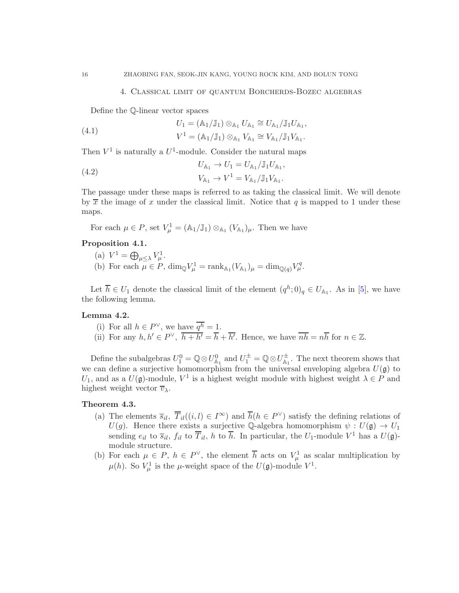#### 4. Classical limit of quantum Borcherds-Bozec algebras

Define the Q-linear vector spaces

(4.1) 
$$
U_1 = (\mathbb{A}_1/\mathbb{J}_1) \otimes_{\mathbb{A}_1} U_{\mathbb{A}_1} \cong U_{\mathbb{A}_1}/\mathbb{J}_1 U_{\mathbb{A}_1},
$$

$$
V^1 = (\mathbb{A}_1/\mathbb{J}_1) \otimes_{\mathbb{A}_1} V_{\mathbb{A}_1} \cong V_{\mathbb{A}_1}/\mathbb{J}_1 V_{\mathbb{A}_1}.
$$

Then  $V^1$  is naturally a  $U^1$ -module. Consider the natural maps

(4.2) 
$$
U_{A_1} \to U_1 = U_{A_1}/\mathbb{J}_1 U_{A_1},
$$

$$
V_{A_1} \to V^1 = V_{A_1}/\mathbb{J}_1 V_{A_1}.
$$

The passage under these maps is referred to as taking the classical limit. We will denote by  $\bar{x}$  the image of x under the classical limit. Notice that q is mapped to 1 under these maps.

For each  $\mu \in P$ , set  $V^1_\mu = (\mathbb{A}_1/\mathbb{J}_1) \otimes_{\mathbb{A}_1} (V_{\mathbb{A}_1})_\mu$ . Then we have

# <span id="page-15-0"></span>Proposition 4.1.

- (a)  $V^1 = \bigoplus_{\mu \leq \lambda} V^1_{\mu}$ .
- (b) For each  $\mu \in P$ ,  $\dim_{\mathbb{Q}} V^1_{\mu} = \text{rank}_{\mathbb{A}_1}(V_{\mathbb{A}_1})_{\mu} = \dim_{\mathbb{Q}(q)} V^q_{\mu}$ .

Let  $\overline{h} \in U_1$  denote the classical limit of the element  $(q^h; 0)_q \in U_{\mathbb{A}_1}$ . As in [\[5\]](#page-22-4), we have the following lemma.

### Lemma 4.2.

- (i) For all  $h \in P^{\vee}$ , we have  $\overline{q^h} = 1$ .
- (ii) For any  $h, h' \in P^{\vee}$ ,  $\overline{h+h'} = \overline{h} + \overline{h'}$ . Hence, we have  $\overline{nh} = n\overline{h}$  for  $n \in \mathbb{Z}$ .

Define the subalgebras  $U_1^0 = \mathbb{Q} \otimes U_{\mathbb{A}_1}^0$  and  $U_1^{\pm} = \mathbb{Q} \otimes U_{\mathbb{A}_1}^{\pm}$ . The next theorem shows that we can define a surjective homomorphism from the universal enveloping algebra  $U(\mathfrak{g})$  to U<sub>1</sub>, and as a  $U(\mathfrak{g})$ -module,  $V^1$  is a highest weight module with highest weight  $\lambda \in P$  and highest weight vector  $\overline{v}_{\lambda}$ .

#### <span id="page-15-1"></span>Theorem 4.3.

- (a) The elements  $\overline{s}_{il}$ ,  $\overline{T}_{il}((i, l) \in I^{\infty})$  and  $\overline{h}(h \in P^{\vee})$  satisfy the defining relations of  $U(g)$ . Hence there exists a surjective Q-algebra homomorphism  $\psi : U(\mathfrak{g}) \to U_1$ sending  $e_{il}$  to  $\overline{s}_{il}$ ,  $f_{il}$  to  $\overline{T}_{il}$ , h to  $\overline{h}$ . In particular, the  $U_1$ -module  $V^1$  has a  $U(\mathfrak{g})$ module structure.
- (b) For each  $\mu \in P$ ,  $h \in P^{\vee}$ , the element  $\overline{h}$  acts on  $V^1_{\mu}$  as scalar multiplication by  $\mu(h)$ . So  $V^1_\mu$  is the  $\mu$ -weight space of the  $U(\mathfrak{g})$ -module  $V^1$ .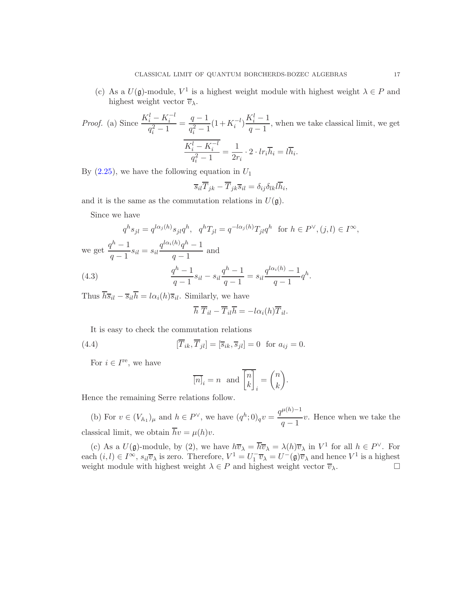(c) As a  $U(\mathfrak{g})$ -module,  $V^1$  is a highest weight module with highest weight  $\lambda \in P$  and highest weight vector  $\overline{v}_{\lambda}$ .

*Proof.* (a) Since 
$$
\frac{K_i^l - K_i^{-l}}{q_i^2 - 1} = \frac{q - 1}{q_i^2 - 1} (1 + K_i^{-l}) \frac{K_i^l - 1}{q - 1}
$$
, when we take classical limit, we get\n
$$
\frac{K_i^l - K_i^{-l}}{q_i^2 - 1} = \frac{1}{2r_i} \cdot 2 \cdot lr_i \overline{h}_i = l \overline{h}_i.
$$

By  $(2.25)$ , we have the following equation in  $U_1$ 

$$
\overline{s}_{il}\overline{T}_{jk} - \overline{T}_{jk}\overline{s}_{il} = \delta_{ij}\delta_{lk}l\overline{h}_{i},
$$

and it is the same as the commutation relations in  $U(\mathfrak{g})$ .

Since we have

$$
q^{h}s_{jl} = q^{l\alpha_{j}(h)}s_{jl}q^{h}, \quad q^{h}T_{jl} = q^{-l\alpha_{j}(h)}T_{jl}q^{h} \quad \text{for } h \in P^{\vee}, (j,l) \in I^{\infty},
$$
  
we get 
$$
\frac{q^{h}-1}{q-1}s_{il} = s_{il}\frac{q^{l\alpha_{i}(h)}q^{h}-1}{q-1} \text{ and}
$$
  
(4.3) 
$$
\frac{q^{h}-1}{q-1}s_{il} - s_{il}\frac{q^{h}-1}{q-1} = s_{il}\frac{q^{l\alpha_{i}(h)}-1}{q-1}q^{h}.
$$

Thus  $\overline{h}\overline{s}_{il} - \overline{s}_{il}\overline{h} = l\alpha_i(h)\overline{s}_{il}$ . Similarly, we have

$$
\overline{h}\ \overline{T}_{il} - \overline{T}_{il}\overline{h} = -l\alpha_i(h)\overline{T}_{il}.
$$

It is easy to check the commutation relations

(4.4) 
$$
[\overline{T}_{ik}, \overline{T}_{jl}] = [\overline{s}_{ik}, \overline{s}_{jl}] = 0 \text{ for } a_{ij} = 0.
$$

For  $i \in I^{\text{re}}$ , we have

$$
\overline{[n]}_i = n \text{ and } \overline{\begin{bmatrix} n \\ k \end{bmatrix}}_i = \begin{pmatrix} n \\ k \end{pmatrix}.
$$

Hence the remaining Serre relations follow.

(b) For  $v \in (V_{A_1})_\mu$  and  $h \in P^\vee$ , we have  $(q^h; 0)_q v = \frac{q^{\mu(h)-1}}{q}$  $\frac{q-1}{q-1}v$ . Hence when we take the classical limit, we obtain  $\overline{h}v = \mu(h)v$ .

(c) As a  $U(\mathfrak{g})$ -module, by (2), we have  $h\overline{v}_{\lambda} = \overline{h}\overline{v}_{\lambda} = \lambda(h)\overline{v}_{\lambda}$  in  $V^1$  for all  $h \in P^{\vee}$ . For each  $(i, l) \in I^{\infty}$ ,  $s_{il}\overline{v}_{\lambda}$  is zero. Therefore,  $V^1 = U^-_1 \overline{v}_{\lambda} = U^-(\mathfrak{g})\overline{v}_{\lambda}$  and hence  $V^1$  is a highest weight module with highest weight  $\lambda \in P$  and highest weight vector  $\overline{v}_{\lambda}$ .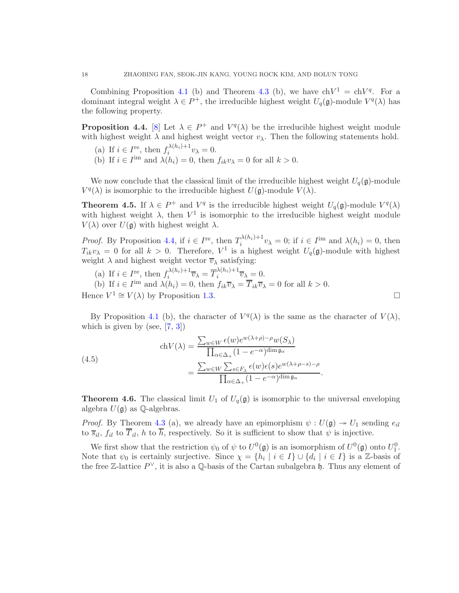Combining Proposition [4.1](#page-15-0) (b) and Theorem [4.3](#page-15-1) (b), we have  $\text{ch}V^1 = \text{ch}V^q$ . For a dominant integral weight  $\lambda \in P^+$ , the irreducible highest weight  $U_q(\mathfrak{g})$ -module  $V^q(\lambda)$  has the following property.

<span id="page-17-0"></span>**Proposition 4.4.** [\[8\]](#page-22-6) Let  $\lambda \in P^+$  and  $V^q(\lambda)$  be the irreducible highest weight module with highest weight  $\lambda$  and highest weight vector  $v_{\lambda}$ . Then the following statements hold.

- (a) If  $i \in I^{\text{re}}$ , then  $f_i^{\lambda(h_i)+1}v_\lambda = 0$ . i
- (b) If  $i \in I^{\text{im}}$  and  $\lambda(h_i) = 0$ , then  $f_{ik}v_\lambda = 0$  for all  $k > 0$ .

We now conclude that the classical limit of the irreducible highest weight  $U_q(\mathfrak{g})$ -module  $V^q(\lambda)$  is isomorphic to the irreducible highest  $U(\mathfrak{g})$ -module  $V(\lambda)$ .

**Theorem 4.5.** If  $\lambda \in P^+$  and  $V^q$  is the irreducible highest weight  $U_q(\mathfrak{g})$ -module  $V^q(\lambda)$ with highest weight  $\lambda$ , then  $V^1$  is isomorphic to the irreducible highest weight module  $V(\lambda)$  over  $U(\mathfrak{g})$  with highest weight  $\lambda$ .

*Proof.* By Proposition [4.4,](#page-17-0) if  $i \in I^{\text{re}}$ , then  $T_i^{\lambda(h_i)+1}$  $i^{\lambda(h_i)+1}v_\lambda = 0$ ; if  $i \in I^{\text{im}}$  and  $\lambda(h_i) = 0$ , then  $T_{ik}v_{\lambda} = 0$  for all  $k > 0$ . Therefore,  $V^1$  is a highest weight  $U_q(\mathfrak{g})$ -module with highest weight  $\lambda$  and highest weight vector  $\overline{v}_{\lambda}$  satisfying:

- (a) If  $i \in I^{\text{re}}$ , then  $f_i^{\lambda(h_i)+1}$  $\overline{v}_{i}^{\lambda(h_{i})+1}\overline{v}_{\lambda} = \overline{T}_{i}^{\lambda(h_{i})+1}$  $\overline{v}_{i}^{(n_{i})+1}\overline{v}_{\lambda}=0.$
- (b) If  $i \in I^{\text{im}}$  and  $\lambda(h_i) = 0$ , then  $f_{ik}\overline{v}_{\lambda} = \overline{T}_{ik}\overline{v}_{\lambda} = 0$  for all  $k > 0$ .

Hence  $V^1 \cong V(\lambda)$  by Proposition [1.3.](#page-4-2)

By Proposition [4.1](#page-15-0) (b), the character of  $V^q(\lambda)$  is the same as the character of  $V(\lambda)$ , which is given by (see,  $[7, 3]$  $[7, 3]$ )

(4.5)  
\n
$$
\operatorname{ch} V(\lambda) = \frac{\sum_{w \in W} \epsilon(w) e^{w(\lambda + \rho) - \rho} w(S_{\lambda})}{\prod_{\alpha \in \Delta_+} (1 - e^{-\alpha})^{\dim \mathfrak{g}_{\alpha}}}
$$
\n
$$
= \frac{\sum_{w \in W} \sum_{s \in F_{\lambda}} \epsilon(w) \epsilon(s) e^{w(\lambda + \rho - s) - \rho}}{\prod_{\alpha \in \Delta_+} (1 - e^{-\alpha})^{\dim \mathfrak{g}_{\alpha}}}.
$$

**Theorem 4.6.** The classical limit  $U_1$  of  $U_q(\mathfrak{g})$  is isomorphic to the universal enveloping algebra  $U(\mathfrak{a})$  as  $\mathbb{O}\text{-algebras}.$ 

*Proof.* By Theorem [4.3](#page-15-1) (a), we already have an epimorphism  $\psi : U(\mathfrak{g}) \to U_1$  sending  $e_{il}$ to  $\overline{s}_{il}$ ,  $f_{il}$  to  $\overline{T}_{il}$ , h to  $\overline{h}$ , respectively. So it is sufficient to show that  $\psi$  is injective.

We first show that the restriction  $\psi_0$  of  $\psi$  to  $U^0(\mathfrak{g})$  is an isomorphism of  $U^0(\mathfrak{g})$  onto  $U_1^0$ . Note that  $\psi_0$  is certainly surjective. Since  $\chi = \{h_i \mid i \in I\} \cup \{d_i \mid i \in I\}$  is a Z-basis of the free Z-lattice  $P^{\vee}$ , it is also a Q-basis of the Cartan subalgebra h. Thus any element of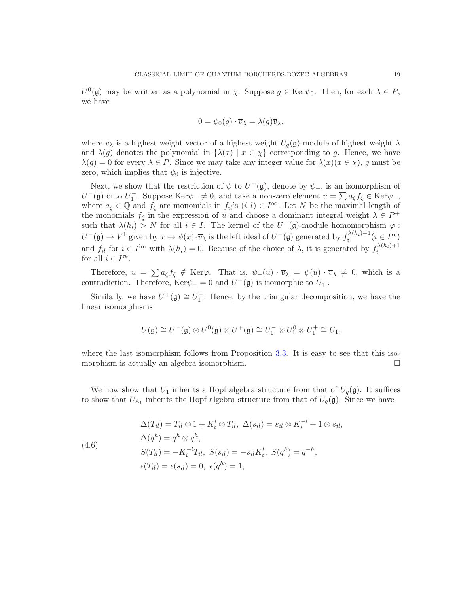$U^0(\mathfrak{g})$  may be written as a polynomial in  $\chi$ . Suppose  $g \in \text{Ker}\psi_0$ . Then, for each  $\lambda \in P$ , we have

$$
0 = \psi_0(g) \cdot \overline{v}_{\lambda} = \lambda(g)\overline{v}_{\lambda},
$$

where  $v_{\lambda}$  is a highest weight vector of a highest weight  $U_q(\mathfrak{g})$ -module of highest weight  $\lambda$ and  $\lambda(g)$  denotes the polynomial in  $\{\lambda(x) \mid x \in \chi\}$  corresponding to g. Hence, we have  $\lambda(g) = 0$  for every  $\lambda \in P$ . Since we may take any integer value for  $\lambda(x)(x \in \chi)$ , g must be zero, which implies that  $\psi_0$  is injective.

Next, we show that the restriction of  $\psi$  to  $U^-(\mathfrak{g})$ , denote by  $\psi_-,$  is an isomorphism of  $U^-(\mathfrak{g})$  onto  $U_1^-$ . Suppose Ker $\psi_-\neq 0$ , and take a non-zero element  $u=\sum a_{\zeta}f_{\zeta}\in\text{Ker}\psi_-,$ where  $a_{\zeta} \in \mathbb{Q}$  and  $f_{\zeta}$  are monomials in  $f_{il}$ 's  $(i, l) \in I^{\infty}$ . Let N be the maximal length of the monomials  $f_{\zeta}$  in the expression of u and choose a dominant integral weight  $\lambda \in P^+$ such that  $\lambda(h_i) > N$  for all  $i \in I$ . The kernel of the  $U^-(\mathfrak{g})$ -module homomorphism  $\varphi$ :  $U^-(\mathfrak{g}) \to V^1$  given by  $x \mapsto \psi(x) \cdot \overline{v}_{\lambda}$  is the left ideal of  $U^-(\mathfrak{g})$  generated by  $f_i^{\lambda(h_i)+1}$  $i^{\lambda(h_i)+1}$   $(i \in I^{\text{re}})$ and  $f_{il}$  for  $i \in I^{\text{im}}$  with  $\lambda(h_i) = 0$ . Because of the choice of  $\lambda$ , it is generated by  $f_i^{\lambda(h_i)+1}$ i for all  $i \in I^{\text{re}}$ .

Therefore,  $u = \sum a_{\zeta} f_{\zeta} \notin \text{Ker}\varphi$ . That is,  $\psi_{-}(u) \cdot \overline{v}_{\lambda} = \psi(u) \cdot \overline{v}_{\lambda} \neq 0$ , which is a contradiction. Therefore,  $\text{Ker}\psi = 0$  and  $U^-(\mathfrak{g})$  is isomorphic to  $U_1^-$ .

Similarly, we have  $U^+(\mathfrak{g}) \cong U_1^+$ . Hence, by the triangular decomposition, we have the linear isomorphisms

$$
U(\mathfrak{g})\cong U^-(\mathfrak{g})\otimes U^0(\mathfrak{g})\otimes U^+(\mathfrak{g})\cong U_1^-\otimes U_1^0\otimes U_1^+\cong U_1,
$$

where the last isomorphism follows from Proposition [3.3.](#page-13-1) It is easy to see that this isomorphism is actually an algebra isomorphism.

We now show that  $U_1$  inherits a Hopf algebra structure from that of  $U_q(\mathfrak{g})$ . It suffices to show that  $U_{A_1}$  inherits the Hopf algebra structure from that of  $U_q(\mathfrak{g})$ . Since we have

<span id="page-18-0"></span>(4.6)  
\n
$$
\Delta(T_{il}) = T_{il} \otimes 1 + K_i^l \otimes T_{il}, \ \Delta(s_{il}) = s_{il} \otimes K_i^{-l} + 1 \otimes s_{il},
$$
\n
$$
\Delta(q^h) = q^h \otimes q^h,
$$
\n
$$
S(T_{il}) = -K_i^{-l} T_{il}, \ S(s_{il}) = -s_{il} K_i^l, \ S(q^h) = q^{-h},
$$
\n
$$
\epsilon(T_{il}) = \epsilon(s_{il}) = 0, \ \epsilon(q^h) = 1,
$$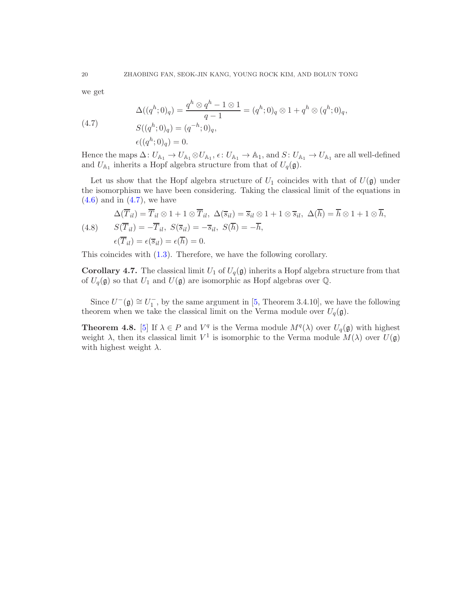we get

<span id="page-19-0"></span>(4.7)  
\n
$$
\Delta((q^h; 0)_q) = \frac{q^h \otimes q^h - 1 \otimes 1}{q - 1} = (q^h; 0)_q \otimes 1 + q^h \otimes (q^h; 0)_q,
$$
\n
$$
S((q^h; 0)_q) = (q^{-h}; 0)_q,
$$
\n
$$
\epsilon((q^h; 0)_q) = 0.
$$

Hence the maps  $\Delta: U_{\mathbb{A}_1} \to U_{\mathbb{A}_1} \otimes U_{\mathbb{A}_1}, \epsilon: U_{\mathbb{A}_1} \to \mathbb{A}_1$ , and  $S: U_{\mathbb{A}_1} \to U_{\mathbb{A}_1}$  are all well-defined and  $U_{\mathbb{A}_1}$  inherits a Hopf algebra structure from that of  $U_q(\mathfrak{g})$ .

Let us show that the Hopf algebra structure of  $U_1$  coincides with that of  $U(\mathfrak{g})$  under the isomorphism we have been considering. Taking the classical limit of the equations in  $(4.6)$  and in  $(4.7)$ , we have

$$
\Delta(\overline{T}_{il}) = \overline{T}_{il} \otimes 1 + 1 \otimes \overline{T}_{il}, \ \Delta(\overline{s}_{il}) = \overline{s}_{il} \otimes 1 + 1 \otimes \overline{s}_{il}, \ \Delta(\overline{h}) = \overline{h} \otimes 1 + 1 \otimes \overline{h},
$$
  
(4.8) 
$$
S(\overline{T}_{il}) = -\overline{T}_{il}, \ S(\overline{s}_{il}) = -\overline{s}_{il}, \ S(\overline{h}) = -\overline{h},
$$

$$
\epsilon(\overline{T}_{il}) = \epsilon(\overline{s}_{il}) = \epsilon(\overline{h}) = 0.
$$

This coincides with [\(1.3\)](#page-4-3). Therefore, we have the following corollary.

**Corollary 4.7.** The classical limit  $U_1$  of  $U_q(\mathfrak{g})$  inherits a Hopf algebra structure from that of  $U_q(\mathfrak{g})$  so that  $U_1$  and  $U(\mathfrak{g})$  are isomorphic as Hopf algebras over  $\mathbb{Q}$ .

Since  $U^-(\mathfrak{g}) \cong U_1^-,$  by the same argument in [\[5,](#page-22-4) Theorem 3.4.10], we have the following theorem when we take the classical limit on the Verma module over  $U_q(\mathfrak{g})$ .

**Theorem 4.8.** [\[5\]](#page-22-4) If  $\lambda \in P$  and  $V^q$  is the Verma module  $M^q(\lambda)$  over  $U_q(\mathfrak{g})$  with highest weight  $\lambda$ , then its classical limit  $V^1$  is isomorphic to the Verma module  $M(\lambda)$  over  $U(\mathfrak{g})$ with highest weight  $\lambda$ .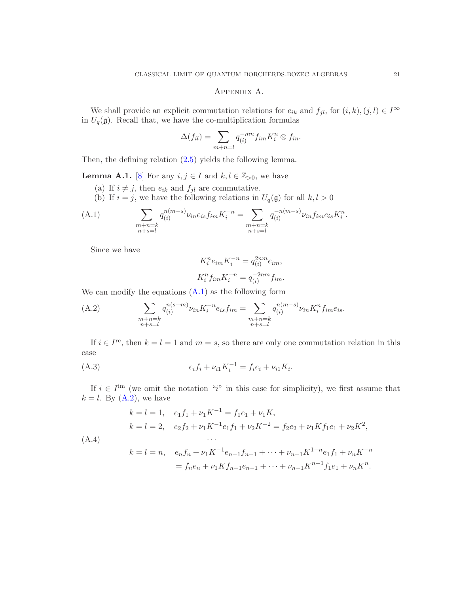## Appendix A.

We shall provide an explicit commutation relations for  $e_{ik}$  and  $f_{jl}$ , for  $(i, k), (j, l) \in I^{\infty}$ in  $U_q(\mathfrak{g})$ . Recall that, we have the co-multiplication formulas

$$
\Delta(f_{il}) = \sum_{m+n=l} q_{(i)}^{-mn} f_{im} K_i^n \otimes f_{in}.
$$

Then, the defining relation [\(2.5\)](#page-7-0) yields the following lemma.

**Lemma A.1.** [\[8\]](#page-22-6) For any  $i, j \in I$  and  $k, l \in \mathbb{Z}_{>0}$ , we have

- (a) If  $i \neq j$ , then  $e_{ik}$  and  $f_{jl}$  are commutative.
- <span id="page-20-0"></span>(b) If  $i = j$ , we have the following relations in  $U_q(\mathfrak{g})$  for all  $k, l > 0$

(A.1) 
$$
\sum_{\substack{m+n=k \ n+s=l}} q_{(i)}^{n(m-s)} \nu_{in} e_{is} f_{im} K_i^{-n} = \sum_{\substack{m+n=k \ n+s=l}} q_{(i)}^{-n(m-s)} \nu_{in} f_{im} e_{is} K_i^n.
$$

Since we have

$$
K_i^n e_{im} K_i^{-n} = q_{(i)}^{2nm} e_{im},
$$
  

$$
K_i^n f_{im} K_i^{-n} = q_{(i)}^{-2nm} f_{im}.
$$

We can modify the equations  $(A.1)$  as the following form

<span id="page-20-1"></span>(A.2) 
$$
\sum_{\substack{m+n=k \ n+s=l}} q_{(i)}^{n(s-m)} \nu_{in} K_i^{-n} e_{is} f_{im} = \sum_{\substack{m+n=k \ n+s=l}} q_{(i)}^{n(m-s)} \nu_{in} K_i^{n} f_{im} e_{is}.
$$

If  $i \in I^{\text{re}}$ , then  $k = l = 1$  and  $m = s$ , so there are only one commutation relation in this case

(A.3) 
$$
e_i f_i + \nu_{i1} K_i^{-1} = f_i e_i + \nu_{i1} K_i.
$$

If  $i \in I^{\text{im}}$  (we omit the notation "i" in this case for simplicity), we first assume that  $k = l$ . By  $(A.2)$ , we have

$$
k = l = 1, \quad e_1 f_1 + \nu_1 K^{-1} = f_1 e_1 + \nu_1 K,
$$
  
\n
$$
k = l = 2, \quad e_2 f_2 + \nu_1 K^{-1} e_1 f_1 + \nu_2 K^{-2} = f_2 e_2 + \nu_1 K f_1 e_1 + \nu_2 K^2,
$$
  
\n
$$
\dots
$$
  
\n
$$
k = l = n, \quad e_n f_n + \nu_1 K^{-1} e_{n-1} f_{n-1} + \dots + \nu_{n-1} K^{1-n} e_1 f_1 + \nu_n K^{-n}
$$
  
\n
$$
= f_n e_n + \nu_1 K f_{n-1} e_{n-1} + \dots + \nu_{n-1} K^{n-1} f_1 e_1 + \nu_n K^n.
$$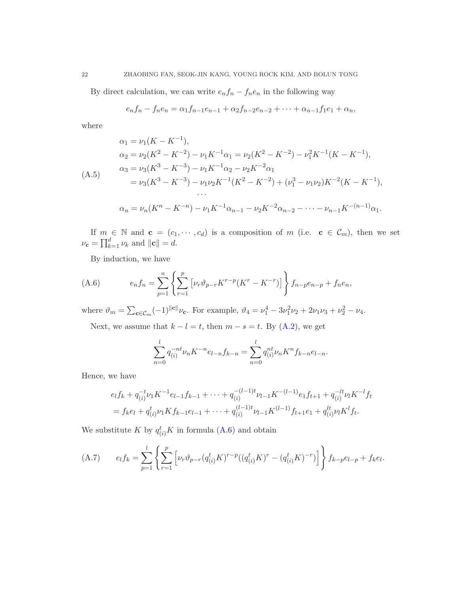By direct calculation, we can write  $e_n f_n - f_n e_n$  in the following way

$$
e_n f_n - f_n e_n = \alpha_1 f_{n-1} e_{n-1} + \alpha_2 f_{n-2} e_{n-2} + \dots + \alpha_{n-1} f_1 e_1 + \alpha_n,
$$

where

$$
\alpha_1 = \nu_1 (K - K^{-1}),
$$
\n
$$
\alpha_2 = \nu_2 (K^2 - K^{-2}) - \nu_1 K^{-1} \alpha_1 = \nu_2 (K^2 - K^{-2}) - \nu_1^2 K^{-1} (K - K^{-1}),
$$
\n
$$
\alpha_3 = \nu_3 (K^3 - K^{-3}) - \nu_1 K^{-1} \alpha_2 - \nu_2 K^{-2} \alpha_1
$$
\n
$$
= \nu_3 (K^3 - K^{-3}) - \nu_1 \nu_2 K^{-1} (K^2 - K^{-2}) + (\nu_1^3 - \nu_1 \nu_2) K^{-2} (K - K^{-1}),
$$
\n
$$
\dots
$$
\n
$$
\alpha_n = \nu_n (K^n - K^{-n}) - \nu_1 K^{-1} \alpha_{n-1} - \nu_2 K^{-2} \alpha_{n-2} - \dots - \nu_{n-1} K^{-(n-1)} \alpha_1.
$$

If  $m \in \mathbb{N}$  and  $\mathbf{c} = (c_1, \dots, c_d)$  is a composition of m (i.e.  $\mathbf{c} \in \mathcal{C}_m$ ), then we set  $\nu_{\mathbf{c}} = \prod_{k=1}^{d} \nu_k$  and  $\|\mathbf{c}\| = d$ .

<span id="page-21-0"></span>By induction, we have

(A.6) 
$$
e_n f_n = \sum_{p=1}^n \left\{ \sum_{r=1}^p \left[ \nu_r \vartheta_{p-r} K^{r-p} (K^r - K^{-r}) \right] \right\} f_{n-p} e_{n-p} + f_n e_n,
$$

where  $\vartheta_m = \sum_{\mathbf{c} \in \mathcal{C}_m} (-1)^{\|\mathbf{c}\|} \nu_{\mathbf{c}}$ . For example,  $\vartheta_4 = \nu_1^4 - 3\nu_1^2 \nu_2 + 2\nu_1 \nu_3 + \nu_2^2 - \nu_4$ . Next, we assume that  $k - l = t$ , then  $m - s = t$ . By [\(A.2\)](#page-20-1), we get

$$
\sum_{n=0}^{l} q_{(i)}^{-nt} \nu_n K^{-n} e_{l-n} f_{k-n} = \sum_{n=0}^{l} q_{(i)}^{nt} \nu_n K^n f_{k-n} e_{l-n}.
$$

Hence, we have

$$
e_l f_k + q_{(i)}^{-t} \nu_1 K^{-1} e_{l-1} f_{k-1} + \dots + q_{(i)}^{-(l-1)t} \nu_{l-1} K^{-(l-1)} e_1 f_{t+1} + q_{(i)}^{-lt} \nu_l K^{-l} f_t
$$
  
=  $f_k e_l + q_{(i)}^t \nu_1 K f_{k-1} e_{l-1} + \dots + q_{(i)}^{(l-1)t} \nu_{l-1} K^{(l-1)} f_{t+1} e_1 + q_{(i)}^{lt} \nu_l K^l f_t.$ 

We substitute K by  $q_{(i)}^t K$  in formula [\(A.6\)](#page-21-0) and obtain

<span id="page-21-1"></span>(A.7) 
$$
e_l f_k = \sum_{p=1}^l \left\{ \sum_{r=1}^p \left[ \nu_r \vartheta_{p-r} (q_{(i)}^t K)^{r-p} ((q_{(i)}^t K)^r - (q_{(i)}^t K)^{-r}) \right] \right\} f_{k-p} e_{l-p} + f_k e_l.
$$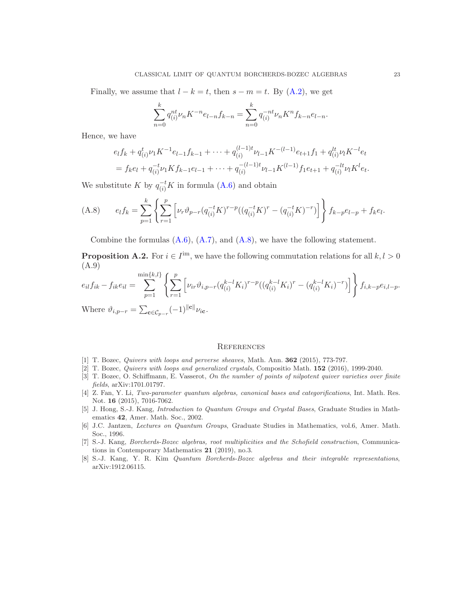Finally, we assume that  $l - k = t$ , then  $s - m = t$ . By  $(A.2)$ , we get

$$
\sum_{n=0}^{k} q_{(i)}^{nt} \nu_n K^{-n} e_{l-n} f_{k-n} = \sum_{n=0}^{k} q_{(i)}^{-nt} \nu_n K^n f_{k-n} e_{l-n}.
$$

Hence, we have

$$
e_l f_k + q_{(i)}^t \nu_1 K^{-1} e_{l-1} f_{k-1} + \dots + q_{(i)}^{(l-1)t} \nu_{l-1} K^{-(l-1)} e_{t+1} f_1 + q_{(i)}^{lt} \nu_l K^{-l} e_t
$$
  
=  $f_k e_l + q_{(i)}^{-t} \nu_1 K f_{k-1} e_{l-1} + \dots + q_{(i)}^{-(l-1)t} \nu_{l-1} K^{(l-1)} f_1 e_{t+1} + q_{(i)}^{-lt} \nu_l K^l e_t.$ 

We substitute K by  $q_{(i)}^{-t}K$  in formula [\(A.6\)](#page-21-0) and obtain

<span id="page-22-7"></span>(A.8) 
$$
e_l f_k = \sum_{p=1}^k \left\{ \sum_{r=1}^p \left[ \nu_r \vartheta_{p-r} (q_{(i)}^{-t} K)^{r-p} ((q_{(i)}^{-t} K)^r - (q_{(i)}^{-t} K)^{-r}) \right] \right\} f_{k-p} e_{l-p} + f_k e_l.
$$

Combine the formulas  $(A.6)$ ,  $(A.7)$ , and  $(A.8)$ , we have the following statement.

**Proposition A.2.** For  $i \in I^{\text{im}}$ , we have the following commutation relations for all  $k, l > 0$ (A.9)

$$
e_{il}f_{ik} - f_{ik}e_{il} = \sum_{p=1}^{\min\{k,l\}} \left\{ \sum_{r=1}^p \left[ \nu_{ir} \vartheta_{i,p-r} (q_{(i)}^{k-l} K_i)^{r-p} ((q_{(i)}^{k-l} K_i)^r - (q_{(i)}^{k-l} K_i)^{-r}) \right] \right\} f_{i,k-p}e_{i,l-p}.
$$
  
Where 
$$
s^q = \sum_{p=1}^{\min\{k,l\}} (1)^{\|g\|}.
$$

Where  $\vartheta_{i,p-r} = \sum_{\mathbf{c} \in \mathcal{C}_{p-r}} (-1)^{\|\mathbf{c}\|} \nu_{i\mathbf{c}}.$ 

#### **REFERENCES**

- <span id="page-22-1"></span><span id="page-22-0"></span>[1] T. Bozec, Quivers with loops and perverse sheaves, Math. Ann. **362** (2015), 773-797.
- <span id="page-22-2"></span>[2] T. Bozec, Quivers with loops and generalized crystals, Compositio Math. 152 (2016), 1999-2040.
- [3] T. Bozec, O. Schiffmann, E. Vasserot, On the number of points of nilpotent quiver varieties over finite fields, arXiv:1701.01797.
- [4] Z. Fan, Y. Li, Two-parameter quantum algebras, canonical bases and categorifications, Int. Math. Res. Not. 16 (2015), 7016-7062.
- <span id="page-22-4"></span>[5] J. Hong, S.-J. Kang, Introduction to Quantum Groups and Crystal Bases, Graduate Studies in Mathematics 42, Amer. Math. Soc., 2002.
- <span id="page-22-3"></span>[6] J.C. Jantzen, Lectures on Quantum Groups, Graduate Studies in Mathematics, vol.6, Amer. Math. Soc., 1996.
- <span id="page-22-5"></span>[7] S.-J. Kang, Borcherds-Bozec algebras, root multiplicities and the Schofield construction, Communications in Contemporary Mathematics 21 (2019), no.3.
- <span id="page-22-6"></span>[8] S.-J. Kang, Y. R. Kim Quantum Borcherds-Bozec algebras and their integrable representations, arXiv:1912.06115.